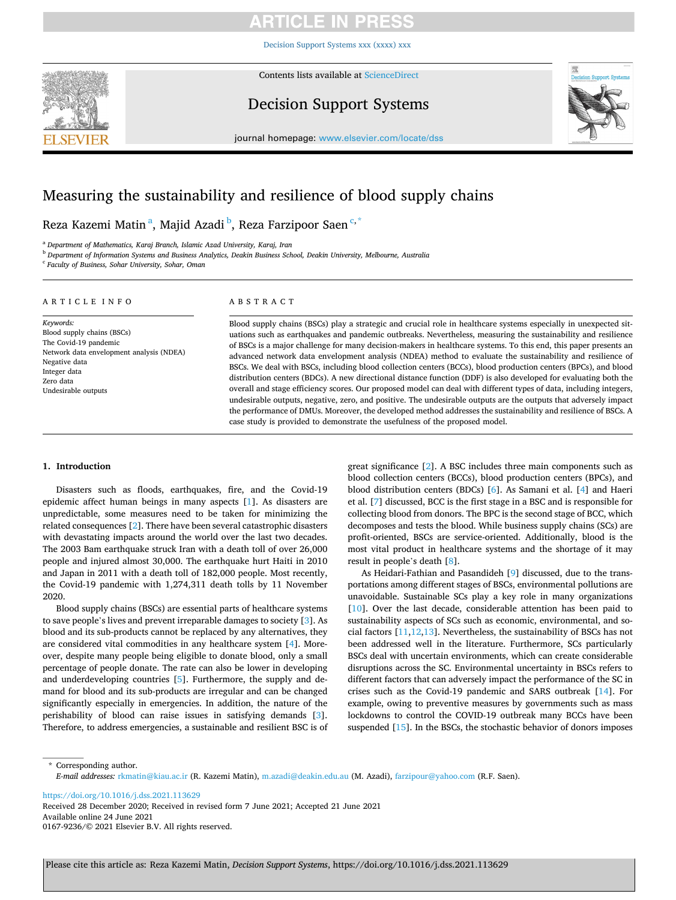[Decision Support Systems xxx \(xxxx\) xxx](https://doi.org/10.1016/j.dss.2021.113629)



Contents lists available at [ScienceDirect](www.sciencedirect.com/science/journal/01679236)

## Decision Support Systems



journal homepage: [www.elsevier.com/locate/dss](https://www.elsevier.com/locate/dss) 

## Measuring the sustainability and resilience of blood supply chains

## Reza Kazemi Matin<sup>a</sup>, Majid Azadi <sup>b</sup>, Reza Farzipoor Saen<sup>c,\*</sup>

<sup>a</sup> *Department of Mathematics, Karaj Branch, Islamic Azad University, Karaj, Iran* 

<sup>b</sup> *Department of Information Systems and Business Analytics, Deakin Business School, Deakin University, Melbourne, Australia* 

<sup>c</sup> *Faculty of Business, Sohar University, Sohar, Oman* 

### ARTICLE INFO

*Keywords:*  Blood supply chains (BSCs) The Covid-19 pandemic Network data envelopment analysis (NDEA) Negative data Integer data Zero data Undesirable outputs

### ABSTRACT

Blood supply chains (BSCs) play a strategic and crucial role in healthcare systems especially in unexpected situations such as earthquakes and pandemic outbreaks. Nevertheless, measuring the sustainability and resilience of BSCs is a major challenge for many decision-makers in healthcare systems. To this end, this paper presents an advanced network data envelopment analysis (NDEA) method to evaluate the sustainability and resilience of BSCs. We deal with BSCs, including blood collection centers (BCCs), blood production centers (BPCs), and blood distribution centers (BDCs). A new directional distance function (DDF) is also developed for evaluating both the overall and stage efficiency scores. Our proposed model can deal with different types of data, including integers, undesirable outputs, negative, zero, and positive. The undesirable outputs are the outputs that adversely impact the performance of DMUs. Moreover, the developed method addresses the sustainability and resilience of BSCs. A case study is provided to demonstrate the usefulness of the proposed model.

### **1. Introduction**

Disasters such as floods, earthquakes, fire, and the Covid-19 epidemic affect human beings in many aspects [[1](#page-9-0)]. As disasters are unpredictable, some measures need to be taken for minimizing the related consequences [[2](#page-9-0)]. There have been several catastrophic disasters with devastating impacts around the world over the last two decades. The 2003 Bam earthquake struck Iran with a death toll of over 26,000 people and injured almost 30,000. The earthquake hurt Haiti in 2010 and Japan in 2011 with a death toll of 182,000 people. Most recently, the Covid-19 pandemic with 1,274,311 death tolls by 11 November 2020.

Blood supply chains (BSCs) are essential parts of healthcare systems to save people's lives and prevent irreparable damages to society [\[3\]](#page-9-0). As blood and its sub-products cannot be replaced by any alternatives, they are considered vital commodities in any healthcare system [[4](#page-9-0)]. Moreover, despite many people being eligible to donate blood, only a small percentage of people donate. The rate can also be lower in developing and underdeveloping countries [\[5\]](#page-9-0). Furthermore, the supply and demand for blood and its sub-products are irregular and can be changed significantly especially in emergencies. In addition, the nature of the perishability of blood can raise issues in satisfying demands [[3](#page-9-0)]. Therefore, to address emergencies, a sustainable and resilient BSC is of great significance [\[2\]](#page-9-0). A BSC includes three main components such as blood collection centers (BCCs), blood production centers (BPCs), and blood distribution centers (BDCs) [[6](#page-9-0)]. As Samani et al. [\[4\]](#page-9-0) and Haeri et al. [[7](#page-9-0)] discussed, BCC is the first stage in a BSC and is responsible for collecting blood from donors. The BPC is the second stage of BCC, which decomposes and tests the blood. While business supply chains (SCs) are profit-oriented, BSCs are service-oriented. Additionally, blood is the most vital product in healthcare systems and the shortage of it may result in people's death [\[8\]](#page-9-0).

As Heidari-Fathian and Pasandideh [[9](#page-9-0)] discussed, due to the transportations among different stages of BSCs, environmental pollutions are unavoidable. Sustainable SCs play a key role in many organizations [[10\]](#page-9-0). Over the last decade, considerable attention has been paid to sustainability aspects of SCs such as economic, environmental, and social factors  $[11, 12, 13]$ . Nevertheless, the sustainability of BSCs has not been addressed well in the literature. Furthermore, SCs particularly BSCs deal with uncertain environments, which can create considerable disruptions across the SC. Environmental uncertainty in BSCs refers to different factors that can adversely impact the performance of the SC in crises such as the Covid-19 pandemic and SARS outbreak [[14](#page-9-0)]. For example, owing to preventive measures by governments such as mass lockdowns to control the COVID-19 outbreak many BCCs have been suspended [[15\]](#page-9-0). In the BSCs, the stochastic behavior of donors imposes

\* Corresponding author. *E-mail addresses:* [rkmatin@kiau.ac.ir](mailto:rkmatin@kiau.ac.ir) (R. Kazemi Matin), [m.azadi@deakin.edu.au](mailto:m.azadi@deakin.edu.au) (M. Azadi), [farzipour@yahoo.com](mailto:farzipour@yahoo.com) (R.F. Saen).

<https://doi.org/10.1016/j.dss.2021.113629>

Available online 24 June 2021 0167-9236/© 2021 Elsevier B.V. All rights reserved. Received 28 December 2020; Received in revised form 7 June 2021; Accepted 21 June 2021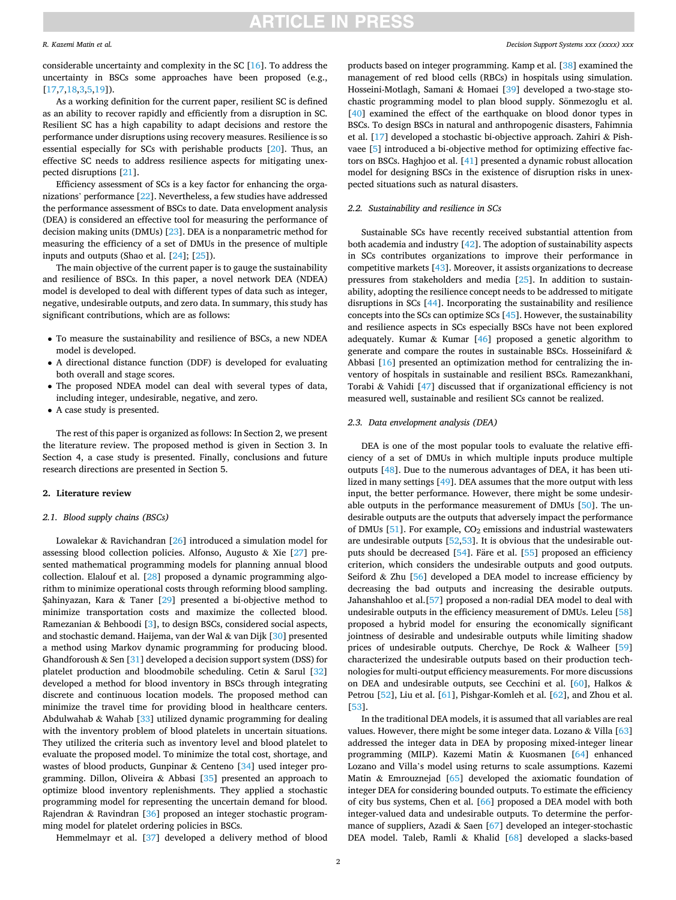### *R. Kazemi Matin et al.*

considerable uncertainty and complexity in the SC [[16\]](#page-9-0). To address the uncertainty in BSCs some approaches have been proposed (e.g., [[17,7,18,3,5](#page-9-0),[19\]](#page-9-0)).

As a working definition for the current paper, resilient SC is defined as an ability to recover rapidly and efficiently from a disruption in SC. Resilient SC has a high capability to adapt decisions and restore the performance under disruptions using recovery measures. Resilience is so essential especially for SCs with perishable products [\[20](#page-9-0)]. Thus, an effective SC needs to address resilience aspects for mitigating unexpected disruptions [\[21](#page-9-0)].

Efficiency assessment of SCs is a key factor for enhancing the organizations' performance [[22\]](#page-9-0). Nevertheless, a few studies have addressed the performance assessment of BSCs to date. Data envelopment analysis (DEA) is considered an effective tool for measuring the performance of decision making units (DMUs) [[23\]](#page-9-0). DEA is a nonparametric method for measuring the efficiency of a set of DMUs in the presence of multiple inputs and outputs (Shao et al. [\[24\]](#page-9-0); [\[25](#page-9-0)]).

The main objective of the current paper is to gauge the sustainability and resilience of BSCs. In this paper, a novel network DEA (NDEA) model is developed to deal with different types of data such as integer, negative, undesirable outputs, and zero data. In summary, this study has significant contributions, which are as follows:

- To measure the sustainability and resilience of BSCs, a new NDEA model is developed.
- A directional distance function (DDF) is developed for evaluating both overall and stage scores.
- The proposed NDEA model can deal with several types of data, including integer, undesirable, negative, and zero.
- A case study is presented.

The rest of this paper is organized as follows: In Section 2, we present the literature review. The proposed method is given in Section 3. In Section 4, a case study is presented. Finally, conclusions and future research directions are presented in Section 5.

### **2. Literature review**

### *2.1. Blood supply chains (BSCs)*

Lowalekar & Ravichandran [\[26](#page-9-0)] introduced a simulation model for assessing blood collection policies. Alfonso, Augusto & Xie [[27\]](#page-9-0) presented mathematical programming models for planning annual blood collection. Elalouf et al. [[28\]](#page-9-0) proposed a dynamic programming algorithm to minimize operational costs through reforming blood sampling. Şahinyazan, Kara & Taner  $[29]$  $[29]$  presented a bi-objective method to minimize transportation costs and maximize the collected blood. Ramezanian & Behboodi [\[3\]](#page-9-0), to design BSCs, considered social aspects, and stochastic demand. Haijema, van der Wal & van Dijk [\[30](#page-9-0)] presented a method using Markov dynamic programming for producing blood. Ghandforoush  $&$  Sen [[31\]](#page-9-0) developed a decision support system (DSS) for platelet production and bloodmobile scheduling. Cetin & Sarul [\[32](#page-9-0)] developed a method for blood inventory in BSCs through integrating discrete and continuous location models. The proposed method can minimize the travel time for providing blood in healthcare centers. Abdulwahab & Wahab [[33](#page-9-0)] utilized dynamic programming for dealing with the inventory problem of blood platelets in uncertain situations. They utilized the criteria such as inventory level and blood platelet to evaluate the proposed model. To minimize the total cost, shortage, and wastes of blood products, Gunpinar & Centeno [\[34](#page-9-0)] used integer programming. Dillon, Oliveira & Abbasi [\[35](#page-9-0)] presented an approach to optimize blood inventory replenishments. They applied a stochastic programming model for representing the uncertain demand for blood. Rajendran & Ravindran [[36\]](#page-9-0) proposed an integer stochastic programming model for platelet ordering policies in BSCs.

Hemmelmayr et al. [[37\]](#page-10-0) developed a delivery method of blood

products based on integer programming. Kamp et al. [[38\]](#page-10-0) examined the management of red blood cells (RBCs) in hospitals using simulation. Hosseini-Motlagh, Samani & Homaei [[39\]](#page-10-0) developed a two-stage stochastic programming model to plan blood supply. Sönmezoglu et al. [[40\]](#page-10-0) examined the effect of the earthquake on blood donor types in BSCs. To design BSCs in natural and anthropogenic disasters, Fahimnia et al. [\[17](#page-9-0)] developed a stochastic bi-objective approach. Zahiri & Pishvaee [[5](#page-9-0)] introduced a bi-objective method for optimizing effective factors on BSCs. Haghjoo et al. [\[41](#page-10-0)] presented a dynamic robust allocation model for designing BSCs in the existence of disruption risks in unexpected situations such as natural disasters.

### *2.2. Sustainability and resilience in SCs*

Sustainable SCs have recently received substantial attention from both academia and industry [\[42](#page-10-0)]. The adoption of sustainability aspects in SCs contributes organizations to improve their performance in competitive markets [\[43](#page-10-0)]. Moreover, it assists organizations to decrease pressures from stakeholders and media [\[25](#page-9-0)]. In addition to sustainability, adopting the resilience concept needs to be addressed to mitigate disruptions in SCs [[44\]](#page-10-0). Incorporating the sustainability and resilience concepts into the SCs can optimize SCs [[45\]](#page-10-0). However, the sustainability and resilience aspects in SCs especially BSCs have not been explored adequately. Kumar & Kumar [\[46\]](#page-10-0) proposed a genetic algorithm to generate and compare the routes in sustainable BSCs. Hosseinifard  $\&$ Abbasi [[16\]](#page-9-0) presented an optimization method for centralizing the inventory of hospitals in sustainable and resilient BSCs. Ramezankhani, Torabi & Vahidi [\[47](#page-10-0)] discussed that if organizational efficiency is not measured well, sustainable and resilient SCs cannot be realized.

### *2.3. Data envelopment analysis (DEA)*

DEA is one of the most popular tools to evaluate the relative efficiency of a set of DMUs in which multiple inputs produce multiple outputs [[48\]](#page-10-0). Due to the numerous advantages of DEA, it has been utilized in many settings [[49\]](#page-10-0). DEA assumes that the more output with less input, the better performance. However, there might be some undesirable outputs in the performance measurement of DMUs [[50](#page-10-0)]. The undesirable outputs are the outputs that adversely impact the performance of DMUs  $[51]$  $[51]$ . For example,  $CO<sub>2</sub>$  emissions and industrial wastewaters are undesirable outputs [[52,53](#page-10-0)]. It is obvious that the undesirable out-puts should be decreased [\[54](#page-10-0)]. Fare et al. [\[55](#page-10-0)] proposed an efficiency criterion, which considers the undesirable outputs and good outputs. Seiford  $&$  Zhu [\[56](#page-10-0)] developed a DEA model to increase efficiency by decreasing the bad outputs and increasing the desirable outputs. Jahanshahloo et al.[\[57](#page-10-0)] proposed a non-radial DEA model to deal with undesirable outputs in the efficiency measurement of DMUs. Leleu [\[58](#page-10-0)] proposed a hybrid model for ensuring the economically significant jointness of desirable and undesirable outputs while limiting shadow prices of undesirable outputs. Cherchye, De Rock & Walheer [\[59](#page-10-0)] characterized the undesirable outputs based on their production technologies for multi-output efficiency measurements. For more discussions on DEA and undesirable outputs, see Cecchini et al. [[60\]](#page-10-0), Halkos & Petrou [[52](#page-10-0)], Liu et al. [\[61](#page-10-0)], Pishgar-Komleh et al. [\[62](#page-10-0)], and Zhou et al. [[53\]](#page-10-0).

In the traditional DEA models, it is assumed that all variables are real values. However, there might be some integer data. Lozano & Villa [\[63](#page-10-0)] addressed the integer data in DEA by proposing mixed-integer linear programming (MILP). Kazemi Matin & Kuosmanen [[64\]](#page-10-0) enhanced Lozano and Villa's model using returns to scale assumptions. Kazemi Matin & Emrouznejad [\[65](#page-10-0)] developed the axiomatic foundation of integer DEA for considering bounded outputs. To estimate the efficiency of city bus systems, Chen et al. [\[66](#page-10-0)] proposed a DEA model with both integer-valued data and undesirable outputs. To determine the performance of suppliers, Azadi & Saen [\[67](#page-10-0)] developed an integer-stochastic DEA model. Taleb, Ramli & Khalid [\[68](#page-10-0)] developed a slacks-based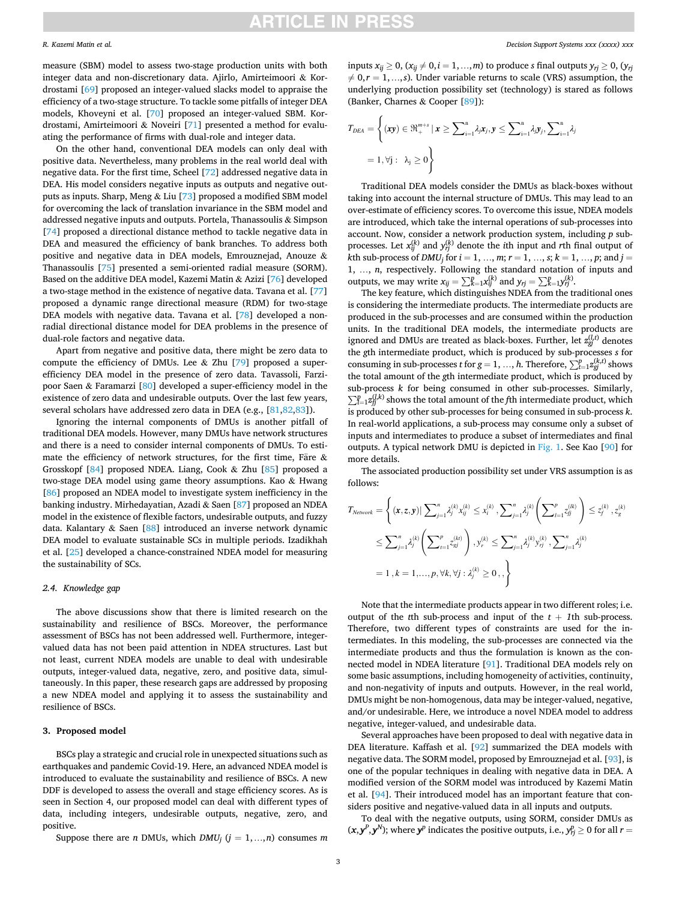$\overline{a}$ 

### *R. Kazemi Matin et al.*

measure (SBM) model to assess two-stage production units with both integer data and non-discretionary data. Ajirlo, Amirteimoori & Kordrostami [\[69\]](#page-10-0) proposed an integer-valued slacks model to appraise the efficiency of a two-stage structure. To tackle some pitfalls of integer DEA models, Khoveyni et al. [\[70](#page-10-0)] proposed an integer-valued SBM. Kordrostami, Amirteimoori & Noveiri [[71\]](#page-10-0) presented a method for evaluating the performance of firms with dual-role and integer data.

On the other hand, conventional DEA models can only deal with positive data. Nevertheless, many problems in the real world deal with negative data. For the first time, Scheel [[72\]](#page-10-0) addressed negative data in DEA. His model considers negative inputs as outputs and negative outputs as inputs. Sharp, Meng & Liu [[73\]](#page-10-0) proposed a modified SBM model for overcoming the lack of translation invariance in the SBM model and addressed negative inputs and outputs. Portela, Thanassoulis & Simpson [[74\]](#page-10-0) proposed a directional distance method to tackle negative data in DEA and measured the efficiency of bank branches. To address both positive and negative data in DEA models, Emrouznejad, Anouze & Thanassoulis [\[75](#page-10-0)] presented a semi-oriented radial measure (SORM). Based on the additive DEA model, Kazemi Matin & Azizi [\[76](#page-10-0)] developed a two-stage method in the existence of negative data. Tavana et al. [\[77](#page-10-0)] proposed a dynamic range directional measure (RDM) for two-stage DEA models with negative data. Tavana et al. [[78\]](#page-10-0) developed a nonradial directional distance model for DEA problems in the presence of dual-role factors and negative data.

Apart from negative and positive data, there might be zero data to compute the efficiency of DMUs. Lee  $&$  Zhu  $[79]$  $[79]$  proposed a superefficiency DEA model in the presence of zero data. Tavassoli, Farzipoor Saen & Faramarzi [[80\]](#page-10-0) developed a super-efficiency model in the existence of zero data and undesirable outputs. Over the last few years, several scholars have addressed zero data in DEA (e.g., [[81,82,83](#page-10-0)]).

Ignoring the internal components of DMUs is another pitfall of traditional DEA models. However, many DMUs have network structures and there is a need to consider internal components of DMUs. To estimate the efficiency of network structures, for the first time, Färe  $\&$ Grosskopf [\[84](#page-10-0)] proposed NDEA. Liang, Cook & Zhu [\[85](#page-10-0)] proposed a two-stage DEA model using game theory assumptions. Kao & Hwang [[86\]](#page-10-0) proposed an NDEA model to investigate system inefficiency in the banking industry. Mirhedayatian, Azadi & Saen [[87\]](#page-10-0) proposed an NDEA model in the existence of flexible factors, undesirable outputs, and fuzzy data. Kalantary & Saen [[88\]](#page-10-0) introduced an inverse network dynamic DEA model to evaluate sustainable SCs in multiple periods. Izadikhah et al. [\[25](#page-9-0)] developed a chance-constrained NDEA model for measuring the sustainability of SCs.

### *2.4. Knowledge gap*

The above discussions show that there is limited research on the sustainability and resilience of BSCs. Moreover, the performance assessment of BSCs has not been addressed well. Furthermore, integervalued data has not been paid attention in NDEA structures. Last but not least, current NDEA models are unable to deal with undesirable outputs, integer-valued data, negative, zero, and positive data, simultaneously. In this paper, these research gaps are addressed by proposing a new NDEA model and applying it to assess the sustainability and resilience of BSCs.

### **3. Proposed model**

BSCs play a strategic and crucial role in unexpected situations such as earthquakes and pandemic Covid-19. Here, an advanced NDEA model is introduced to evaluate the sustainability and resilience of BSCs. A new DDF is developed to assess the overall and stage efficiency scores. As is seen in Section 4, our proposed model can deal with different types of data, including integers, undesirable outputs, negative, zero, and positive.

Suppose there are *n* DMUs, which  $DMU_i$  ( $j = 1,...,n$ ) consumes *m* 

inputs  $x_{ij} \geq 0$ ,  $(x_{ij} \neq 0, i = 1, ..., m)$  to produce *s* final outputs  $y_{ri} \geq 0$ ,  $(y_{ri} \neq 0, j = 1, ..., m)$  $\neq 0, r = 1, \ldots, s$ . Under variable returns to scale (VRS) assumption, the underlying production possibility set (technology) is stared as follows (Banker, Charnes & Cooper [\[89](#page-10-0)]):

$$
T_{DEA} = \left\{ (\mathbf{x}\mathbf{y}) \in \mathfrak{R}_{+}^{m+s} \mid \mathbf{x} \ge \sum_{i=1}^{n} \lambda_j \mathbf{x}_j, \mathbf{y} \le \sum_{i=1}^{n} \lambda_j \mathbf{y}_j, \sum_{i=1}^{n} \lambda_j
$$
  
= 1,  $\forall j : \lambda_j \ge 0$ 

Traditional DEA models consider the DMUs as black-boxes without taking into account the internal structure of DMUs. This may lead to an over-estimate of efficiency scores. To overcome this issue, NDEA models are introduced, which take the internal operations of sub-processes into account. Now, consider a network production system, including *p* subprocesses. Let  $x_{ij}^{(k)}$  and  $y_{rj}^{(k)}$  denote the *i*th input and *r*th final output of *k*th sub-process of *DMU<sub>i</sub>* for  $i = 1, ..., m; r = 1, ..., s; k = 1, ..., p;$  and  $j =$ 1, …, *n*, respectively. Following the standard notation of inputs and outputs, we may write  $x_{ij} = \sum_{k=1}^{n} x_{ij}^{(k)}$  and  $y_{rj} = \sum_{k=1}^{n} y_{rj}^{(k)}$ .

The key feature, which distinguishes NDEA from the traditional ones is considering the intermediate products. The intermediate products are produced in the sub-processes and are consumed within the production units. In the traditional DEA models, the intermediate products are ignored and DMUs are treated as black-boxes. Further, let  $z_{gj}^{(l,t)}$  denotes the *g*th intermediate product, which is produced by sub-processes *s* for consuming in sub-processes *t* for  $g = 1, ..., h$ . Therefore,  $\sum_{t=1}^{p} z_{gi}^{(k,t)}$  shows the total amount of the *g*th intermediate product, which is produced by sub-process *k* for being consumed in other sub-processes. Similarly,  $p_{l=1}^p z_{lj}^{(l,k)}$  shows the total amount of the *f*th intermediate product, which is produced by other sub-processes for being consumed in sub-process *k*. In real-world applications, a sub-process may consume only a subset of inputs and intermediates to produce a subset of intermediates and final outputs. A typical network DMU is depicted in [Fig. 1](#page-3-0). See Kao [[90\]](#page-10-0) for more details.

The associated production possibility set under VRS assumption is as follows:

$$
T_{Network} = \left\{ (\mathbf{x}, z, \mathbf{y}) | \sum_{j=1}^{n} \lambda_j^{(k)} x_{ij}^{(k)} \le x_i^{(k)}, \sum_{j=1}^{n} \lambda_j^{(k)} \left( \sum_{l=1}^{p} z_{ij}^{(lk)} \right) \le z_j^{(k)}, z_g^{(k)}
$$
  

$$
\le \sum_{j=1}^{n} \lambda_j^{(k)} \left( \sum_{l=1}^{p} z_{ij}^{(kt)} \right), y_r^{(k)} \le \sum_{j=1}^{n} \lambda_j^{(k)} y_{rj}^{(k)}, \sum_{j=1}^{n} \lambda_j^{(k)}
$$
  

$$
= 1, k = 1, ..., p, \forall k, \forall j : \lambda_j^{(k)} \ge 0, , \right\}
$$

Note that the intermediate products appear in two different roles; i.e. output of the *t*th sub-process and input of the  $t + 1$ th sub-process. Therefore, two different types of constraints are used for the intermediates. In this modeling, the sub-processes are connected via the intermediate products and thus the formulation is known as the connected model in NDEA literature [\[91](#page-10-0)]. Traditional DEA models rely on some basic assumptions, including homogeneity of activities, continuity, and non-negativity of inputs and outputs. However, in the real world, DMUs might be non-homogenous, data may be integer-valued, negative, and/or undesirable. Here, we introduce a novel NDEA model to address negative, integer-valued, and undesirable data.

Several approaches have been proposed to deal with negative data in DEA literature. Kaffash et al. [\[92](#page-10-0)] summarized the DEA models with negative data. The SORM model, proposed by Emrouznejad et al. [[93\]](#page-10-0), is one of the popular techniques in dealing with negative data in DEA. A modified version of the SORM model was introduced by Kazemi Matin et al. [[94\]](#page-10-0). Their introduced model has an important feature that considers positive and negative-valued data in all inputs and outputs.

To deal with the negative outputs, using SORM, consider DMUs as  $(x, y^P, y^N)$ ; where  $y^P$  indicates the positive outputs, i.e.,  $y^P_{rj} \ge 0$  for all  $r = 0$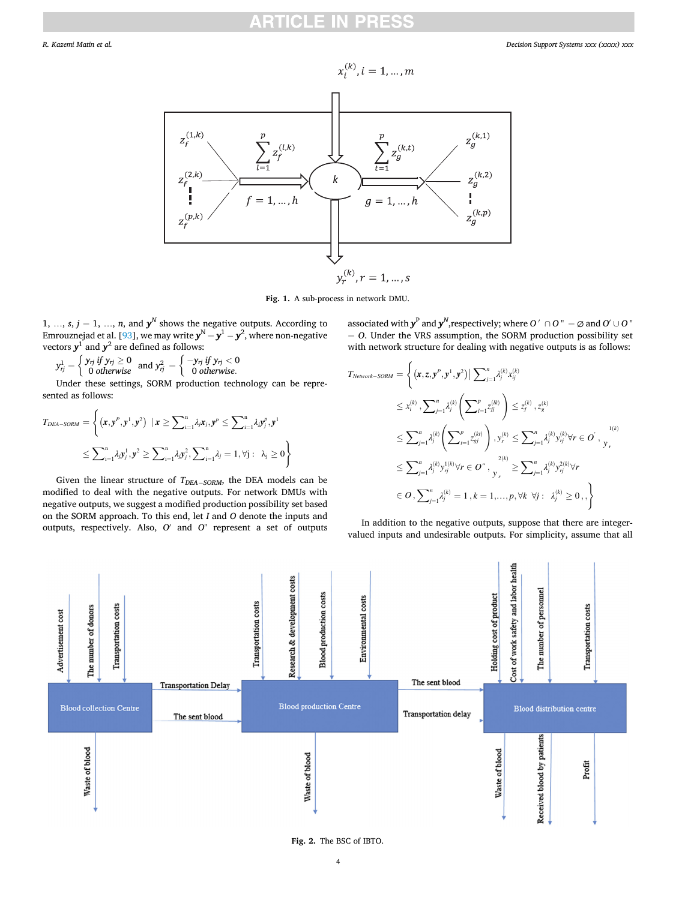<span id="page-3-0"></span>

**Fig. 1.** A sub-process in network DMU.

1, ...,  $s, j = 1, ..., n$ , and  $y^N$  shows the negative outputs. According to Emrouznejad et al. [[93\]](#page-10-0), we may write  $\mathbf{y}^{\text{N}}\!=\!\mathbf{y}^{1}-\mathbf{y}^{2}$ , where non-negative vectors  $y^1$  and  $y^2$  are defined as follows:<br>  $y^1 = \int y_{rj} \, if \, y_{rj} \ge 0$  and  $y^2 = \int -y_{rj} \, if \, j = j$ 

$$
y_{rj}^1 = \begin{cases} y_{rj} \text{ if } y_{rj} \geq 0 \\ 0 \text{ otherwise} \end{cases} \text{ and } y_{rj}^2 = \begin{cases} -y_{rj} \text{ if } y_{rj} < 0 \\ 0 \text{ otherwise.} \end{cases}
$$

Under these settings, SORM production technology can be represented as follows:

$$
T_{DEA-SORM} = \left\{ (\mathbf{x}, \mathbf{y}^P, \mathbf{y}^1, \mathbf{y}^2) \mid \mathbf{x} \ge \sum_{i=1}^n \lambda_i \mathbf{x}_j, \mathbf{y}^p \le \sum_{i=1}^n \lambda_i \mathbf{y}_j^p, \mathbf{y}^1 \le \sum_{i=1}^n \lambda_i \mathbf{y}_j^1, \mathbf{y}^2 \ge \sum_{i=1}^n \lambda_i \mathbf{y}_j^2, \sum_{i=1}^n \lambda_j = 1, \forall j : \lambda_j \ge 0 \right\}
$$

Given the linear structure of *TDEA*<sup>−</sup> *SORM*, the DEA models can be modified to deal with the negative outputs. For network DMUs with negative outputs, we suggest a modified production possibility set based on the SORM approach. To this end, let *I* and *O* denote the inputs and outputs, respectively. Also, *O*′ and *O*" represent a set of outputs associated with  $y^P$  and  $y^N$ , respectively; where *O'* ∩ *O* " = ∅ and *O'* ∪ *O* " = *O*. Under the VRS assumption, the SORM production possibility set with network structure for dealing with negative outputs is as follows:

$$
T_{Network-SORM} = \left\{ (x, z, y^P, y^1, y^2) | \sum_{j=1}^n \lambda_j^{(k)} x_{ij}^{(k)} \right\}\n\leq x_i^{(k)}, \sum_{j=1}^n \lambda_j^{(k)} \left( \sum_{l=1}^p z_{ij}^{(lk)} \right) \leq z_j^{(k)}, z_g^{(k)}\n\leq \sum_{j=1}^n \lambda_j^{(k)} \left( \sum_{r=1}^p z_{sj}^{(kr)} \right), y_r^{(k)} \leq \sum_{j=1}^n \lambda_j^{(k)} y_{ij}^{(k)} \forall r \in O^{\prime}, y_r\n\leq \sum_{j=1}^n \lambda_j^{(k)} y_{ij}^{1(k)} \forall r \in O^{\prime\prime}, y_r \geq \sum_{j=1}^n \lambda_j^{(k)} y_{ij}^{2(k)} \forall r\n\in O, \sum_{j=1}^n \lambda_j^{(k)} = 1, k = 1, ..., p, \forall k \forall j : \lambda_j^{(k)} \geq 0, \}
$$

In addition to the negative outputs, suppose that there are integervalued inputs and undesirable outputs. For simplicity, assume that all



**Fig. 2.** The BSC of IBTO.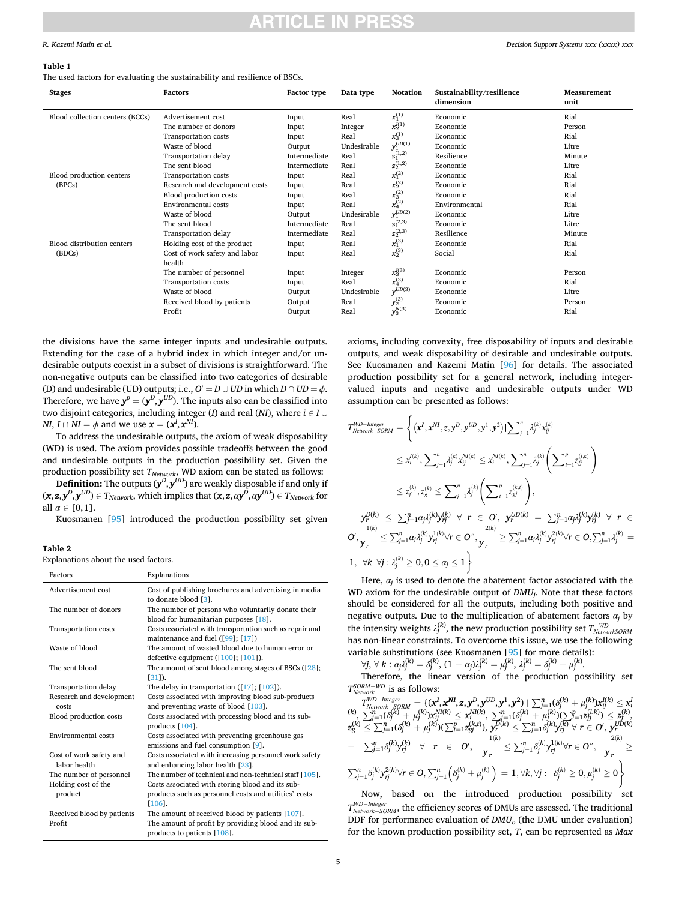### <span id="page-4-0"></span>**Table 1**

The used factors for evaluating the sustainability and resilience of BSCs.

*Decision Support Systems xxx (xxxx) xxx*

| Stages                          | Factors                        | <b>Factor type</b> | Data type   | Notation          | Sustainability/resilience<br>dimension | Measurement<br>unit |
|---------------------------------|--------------------------------|--------------------|-------------|-------------------|----------------------------------------|---------------------|
| Blood collection centers (BCCs) | Advertisement cost             | Input              | Real        | $x_1^{(1)}$       | Economic                               | Rial                |
|                                 | The number of donors           | Input              | Integer     | $x_2^{I(1)}$      | Economic                               | Person              |
|                                 | Transportation costs           | Input              | Real        | $x_3^{(1)}$       | Economic                               | Rial                |
|                                 | Waste of blood                 | Output             | Undesirable | $y_1^{UD(1)}$     | Economic                               | Litre               |
|                                 | Transportation delay           | Intermediate       | Real        | $z_1^{(1,2)}$     | Resilience                             | Minute              |
|                                 | The sent blood                 | Intermediate       | Real        | $\rm z_2^{(1,2)}$ | Economic                               | Litre               |
| Blood production centers        | Transportation costs           | Input              | Real        | $x_1^{(2)}$       | Economic                               | Rial                |
| (BPCs)                          | Research and development costs | Input              | Real        | $x_2^{(2)}$       | Economic                               | Rial                |
|                                 | Blood production costs         | Input              | Real        | $x_3^{(2)}$       | Economic                               | Rial                |
|                                 | Environmental costs            | Input              | Real        | $x_4^{(2)}$       | Environmental                          | Rial                |
|                                 | Waste of blood                 | Output             | Undesirable | $y_1^{UD(2)}$     | Economic                               | Litre               |
|                                 | The sent blood                 | Intermediate       | Real        | $z_1^{(2,3)}$     | Economic                               | Litre               |
|                                 | Transportation delay           | Intermediate       | Real        | $\rm z_2^{(2,3)}$ | Resilience                             | Minute              |
| Blood distribution centers      | Holding cost of the product    | Input              | Real        | $x_1^{(3)}$       | Economic                               | Rial                |
| (BDCs)                          | Cost of work safety and labor  | Input              | Real        | $x_2^{(3)}$       | Social                                 | Rial                |
|                                 | health                         |                    |             |                   |                                        |                     |
|                                 | The number of personnel        | Input              | Integer     | $x_3^{I(3)}$      | Economic                               | Person              |
|                                 | Transportation costs           | Input              | Real        | $x_4^{(3)}$       | Economic                               | Rial                |
|                                 | Waste of blood                 | Output             | Undesirable | $y_1^{UD(3)}$     | Economic                               | Litre               |
|                                 | Received blood by patients     | Output             | Real        | $y_2^{(3)}$       | Economic                               | Person              |
|                                 | Profit                         | Output             | Real        | $y_3^{N(3)}$      | Economic                               | Rial                |

the divisions have the same integer inputs and undesirable outputs. Extending for the case of a hybrid index in which integer and/or undesirable outputs coexist in a subset of divisions is straightforward. The non-negative outputs can be classified into two categories of desirable (D) and undesirable (UD) outputs; i.e.,  $O' = D \cup UD$  in which  $D \cap UD = \phi$ . Therefore, we have  $y^p = (y^D, y^{UD})$ . The inputs also can be classified into two disjoint categories, including integer (*I*) and real (*NI*), where  $i \in I \cup$ *NI*,  $I \cap NI = \phi$  and we use  $\mathbf{x} = (\mathbf{x}^I, \mathbf{x}^{NI})$ .

To address the undesirable outputs, the axiom of weak disposability (WD) is used. The axiom provides possible tradeoffs between the good and undesirable outputs in the production possibility set. Given the production possibility set *TNetwork*, WD axiom can be stated as follows:

**Definition:** The outputs  $(\mathbf{y}^D,\mathbf{y}^{UD})$  are weakly disposable if and only if  $(\mathbf{x}, \mathbf{z}, \mathbf{y}^D, \mathbf{y}^{UD}) \in T_{Network}$ , which implies that  $(\mathbf{x}, \mathbf{z}, a\mathbf{y}^D, a\mathbf{y}^{UD}) \in T_{Network}$  for all  $\alpha \in [0,1]$ .

Kuosmanen [\[95](#page-10-0)] introduced the production possibility set given

**Table 2** 

Explanations about the used factors.

| Factors                     | Explanations                                            |
|-----------------------------|---------------------------------------------------------|
| Advertisement cost          | Cost of publishing brochures and advertising in media   |
|                             | to donate blood [3].                                    |
| The number of donors        | The number of persons who voluntarily donate their      |
|                             | blood for humanitarian purposes [18].                   |
| <b>Transportation costs</b> | Costs associated with transportation such as repair and |
|                             | maintenance and fuel ([99]; [17])                       |
| Waste of blood              | The amount of wasted blood due to human error or        |
|                             | defective equipment $([100]; [101])$ .                  |
| The sent blood              | The amount of sent blood among stages of BSCs $(28)$ ;  |
|                             | $[31]$ .                                                |
| <b>Transportation delay</b> | The delay in transportation $(17)$ ; $[102]$ ).         |
| Research and development    | Costs associated with improving blood sub-products      |
| costs                       | and preventing waste of blood [103].                    |
| Blood production costs      | Costs associated with processing blood and its sub-     |
|                             | products [104].                                         |
| <b>Environmental costs</b>  | Costs associated with preventing greenhouse gas         |
|                             | emissions and fuel consumption [9].                     |
| Cost of work safety and     | Costs associated with increasing personnel work safety  |
| labor health                | and enhancing labor health [23].                        |
| The number of personnel     | The number of technical and non-technical staff [105].  |
| Holding cost of the         | Costs associated with storing blood and its sub-        |
| product                     | products such as personnel costs and utilities' costs   |
|                             | [106].                                                  |
| Received blood by patients  | The amount of received blood by patients $[107]$ .      |
| Profit                      | The amount of profit by providing blood and its sub-    |
|                             | products to patients [108].                             |

axioms, including convexity, free disposability of inputs and desirable outputs, and weak disposability of desirable and undesirable outputs. See Kuosmanen and Kazemi Matin [[96\]](#page-10-0) for details. The associated production possibility set for a general network, including integervalued inputs and negative and undesirable outputs under WD assumption can be presented as follows:

$$
T_{Newton \nmid K}^{WD-Integer} = \left\{ (\mathbf{x}^I, \mathbf{x}^{NI}, z, \mathbf{y}^D, \mathbf{y}^{UD}, \mathbf{y}^1, \mathbf{y}^2) | \sum_{j=1}^n \lambda_j^{(k)} x_{ij}^{(k)} \right\}
$$
  
\n
$$
\leq x_i^{(k)}, \sum_{j=1}^n \lambda_j^{(k)} x_{ij}^{NI(k)} \leq x_i^{NI(k)}, \sum_{j=1}^n \lambda_j^{(k)} \left( \sum_{l=1}^p z_{lj}^{(l,k)} \right)
$$
  
\n
$$
\leq z_f^{(k)}, z_g^{(k)} \leq \sum_{j=1}^n \lambda_j^{(k)} \left( \sum_{l=1}^p z_{gj}^{(k,l)} \right),
$$
  
\n
$$
y_r^{D(k)} \leq \sum_{j=1}^n \alpha_j \lambda_j^{(k)} y_{rj}^{(k)} \forall r \in \mathcal{O}', \ y_r^{UD(k)} = \sum_{j=1}^n \alpha_j \lambda_j^{(k)} y_{rj}^{(k)} \forall r \in \mathcal{O}',
$$
  
\n
$$
y_r^{(k)} \leq \sum_{j=1}^n \alpha_j \lambda_j^{(k)} y_{rj}^{(k)} \forall r \in \mathcal{O}'', \ y_r \geq \sum_{j=1}^n \alpha_j \lambda_j^{(k)} y_{rj}^{(k)} \forall r \in \mathcal{O}, \sum_{j=1}^n \lambda_j^{(k)} = 1, \forall k \forall j : \lambda_j^{(k)} \geq 0, 0 \leq \alpha_j \leq 1 \right\}
$$

Here,  $\alpha_i$  is used to denote the abatement factor associated with the WD axiom for the undesirable output of *DMUj*. Note that these factors should be considered for all the outputs, including both positive and negative outputs. Due to the multiplication of abatement factors  $\alpha_i$  by the intensity weights  $\lambda_j^{(k)}$ , the new production possibility set  $T_{NewtonKSORM}^{-WD}$ has non-linear constraints. To overcome this issue, we use the following variable substitutions (see Kuosmanen [[95\]](#page-10-0) for more details):

$$
\forall j, \forall k: \alpha_j \lambda_j^{(k)} = \delta_j^{(k)}, (1-\alpha_j)\lambda_j^{(k)} = \mu_j^{(k)}, \lambda_j^{(k)} = \delta_j^{(k)} + \mu_j^{(k)}.
$$

Therefore, the linear version of the production possibility set *TSORM*<sup>−</sup> *WD Network* is as follows:

$$
T_{Network-SORM}^{www-K} = \{ (\mathbf{x}^I, \mathbf{x}^M, \mathbf{z}, \mathbf{y}^D, \mathbf{y}^{UD}, \mathbf{y}^1, \mathbf{y}^2) | \sum_{j=1}^n (\delta_j^{(k)} + \mu_j^{(k)}) \mathbf{x}_{ij}^{I(k)} \leq \mathbf{x}_i^{I(k)},
$$
\n
$$
\sum_{j=1}^n (\delta_j^{(k)} + \mu_j^{(k)}) \mathbf{x}_{ij}^{M(k)} \leq \mathbf{x}_i^{M(k)}, \sum_{j=1}^n (\delta_j^{(k)} + \mu_j^{(k)}) (\sum_{j=1}^n \mathbf{z}_{ij}^{(k)}) \leq \mathbf{z}_i^{(k)},
$$
\n
$$
\mathbf{z}_g^{(k)} \leq \sum_{j=1}^n (\delta_j^{(k)} + \mu_j^{(k)}) (\sum_{j=1}^n \mathbf{z}_{gi}^{(k,t)}), \mathbf{y}_j^{D(k)} \leq \sum_{j=1}^n \delta_j^{(k)} \mathbf{y}_{ij}^{K(k)} \forall r \in \mathcal{O}, \mathbf{y}_j^{D(k)}
$$
\n
$$
= \sum_{j=1}^n \delta_j^{(k)} \mathbf{y}_{ij}^{(k)} \forall r \in \mathcal{O}, \mathbf{y}_r \leq \sum_{j=1}^n \delta_j^{(k)} \mathbf{y}_{ij}^{I(k)} \forall r \in \mathcal{O}^*, \mathbf{y}_r \geq \sum_{j=1}^n \delta_j^{(k)} \mathbf{y}_{ij}^{2(k)} \forall r \in \mathcal{O}, \sum_{j=1}^n (\delta_j^{(k)} + \mu_j^{(k)}) = 1, \forall k, \forall j : \delta_j^{(k)} \geq 0, \mu_j^{(k)} \geq 0
$$

Now, based on the introduced production possibility set *TWD*<sup>−</sup> *Integer Network*<sup>−</sup> *SORM*, the efficiency scores of DMUs are assessed. The traditional DDF for performance evaluation of  $DMU_0$  (the DMU under evaluation) for the known production possibility set, *T*, can be represented as *Max*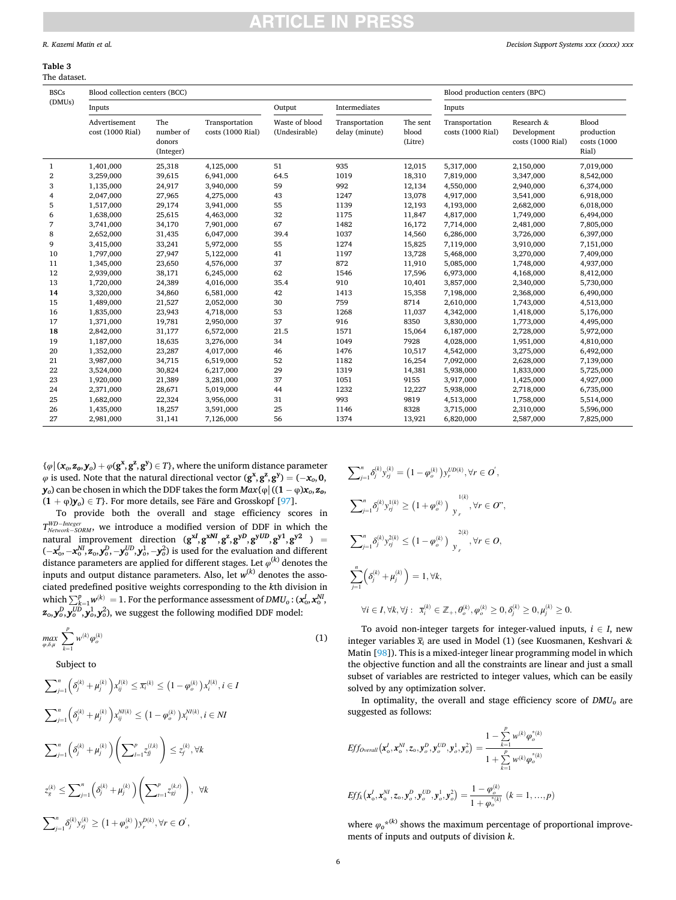### <span id="page-5-0"></span>**Table 3**  The dataset.

| <b>BSCs</b>    | Blood collection centers (BCC)    |                                         |                                     | Blood production centers (BPC)  |                                  |                              |                                     |                                                |                                             |
|----------------|-----------------------------------|-----------------------------------------|-------------------------------------|---------------------------------|----------------------------------|------------------------------|-------------------------------------|------------------------------------------------|---------------------------------------------|
| (DMUs)         | Inputs                            |                                         |                                     | Intermediates<br>Output         |                                  | Inputs                       |                                     |                                                |                                             |
|                | Advertisement<br>cost (1000 Rial) | The<br>number of<br>donors<br>(Integer) | Transportation<br>costs (1000 Rial) | Waste of blood<br>(Undesirable) | Transportation<br>delay (minute) | The sent<br>blood<br>(Litre) | Transportation<br>costs (1000 Rial) | Research &<br>Development<br>costs (1000 Rial) | Blood<br>production<br>costs (1000<br>Rial) |
| $\mathbf{1}$   | 1,401,000                         | 25,318                                  | 4,125,000                           | 51                              | 935                              | 12,015                       | 5,317,000                           | 2,150,000                                      | 7,019,000                                   |
| $\overline{2}$ | 3,259,000                         | 39,615                                  | 6,941,000                           | 64.5                            | 1019                             | 18,310                       | 7,819,000                           | 3,347,000                                      | 8,542,000                                   |
| 3              | 1,135,000                         | 24,917                                  | 3,940,000                           | 59                              | 992                              | 12,134                       | 4,550,000                           | 2,940,000                                      | 6,374,000                                   |
| 4              | 2,047,000                         | 27,965                                  | 4,275,000                           | 43                              | 1247                             | 13,078                       | 4,917,000                           | 3,541,000                                      | 6,918,000                                   |
| 5              | 1,517,000                         | 29,174                                  | 3,941,000                           | 55                              | 1139                             | 12,193                       | 4,193,000                           | 2,682,000                                      | 6,018,000                                   |
| 6              | 1,638,000                         | 25,615                                  | 4,463,000                           | 32                              | 1175                             | 11,847                       | 4,817,000                           | 1,749,000                                      | 6,494,000                                   |
| 7              | 3,741,000                         | 34,170                                  | 7,901,000                           | 67                              | 1482                             | 16,172                       | 7,714,000                           | 2,481,000                                      | 7,805,000                                   |
| 8              | 2,652,000                         | 31,435                                  | 6,047,000                           | 39.4                            | 1037                             | 14,560                       | 6,286,000                           | 3,726,000                                      | 6,397,000                                   |
| 9              | 3,415,000                         | 33,241                                  | 5,972,000                           | 55                              | 1274                             | 15,825                       | 7,119,000                           | 3,910,000                                      | 7,151,000                                   |
| 10             | 1,797,000                         | 27,947                                  | 5,122,000                           | 41                              | 1197                             | 13,728                       | 5,468,000                           | 3,270,000                                      | 7,409,000                                   |
| 11             | 1,345,000                         | 23,650                                  | 4,576,000                           | 37                              | 872                              | 11,910                       | 5,085,000                           | 1,748,000                                      | 4,937,000                                   |
| 12             | 2,939,000                         | 38,171                                  | 6,245,000                           | 62                              | 1546                             | 17,596                       | 6,973,000                           | 4,168,000                                      | 8,412,000                                   |
| 13             | 1,720,000                         | 24,389                                  | 4,016,000                           | 35.4                            | 910                              | 10,401                       | 3,857,000                           | 2,340,000                                      | 5,730,000                                   |
| 14             | 3,320,000                         | 34,860                                  | 6,581,000                           | 42                              | 1413                             | 15,358                       | 7,198,000                           | 2,368,000                                      | 6,490,000                                   |
| 15             | 1,489,000                         | 21,527                                  | 2,052,000                           | 30                              | 759                              | 8714                         | 2,610,000                           | 1,743,000                                      | 4,513,000                                   |
| 16             | 1,835,000                         | 23,943                                  | 4,718,000                           | 53                              | 1268                             | 11,037                       | 4,342,000                           | 1,418,000                                      | 5,176,000                                   |
| 17             | 1,371,000                         | 19,781                                  | 2,950,000                           | 37                              | 916                              | 8350                         | 3,830,000                           | 1,773,000                                      | 4,495,000                                   |
| 18             | 2,842,000                         | 31,177                                  | 6,572,000                           | 21.5                            | 1571                             | 15,064                       | 6,187,000                           | 2,728,000                                      | 5,972,000                                   |
| 19             | 1,187,000                         | 18,635                                  | 3,276,000                           | 34                              | 1049                             | 7928                         | 4,028,000                           | 1,951,000                                      | 4,810,000                                   |
| 20             | 1,352,000                         | 23,287                                  | 4,017,000                           | 46                              | 1476                             | 10,517                       | 4,542,000                           | 3,275,000                                      | 6,492,000                                   |
| 21             | 3,987,000                         | 34,715                                  | 6,519,000                           | 52                              | 1182                             | 16,254                       | 7,092,000                           | 2,628,000                                      | 7,139,000                                   |
| 22             | 3,524,000                         | 30,824                                  | 6,217,000                           | 29                              | 1319                             | 14,381                       | 5,938,000                           | 1,833,000                                      | 5,725,000                                   |
| 23             | 1,920,000                         | 21,389                                  | 3,281,000                           | 37                              | 1051                             | 9155                         | 3,917,000                           | 1,425,000                                      | 4,927,000                                   |
| 24             | 2,371,000                         | 28,671                                  | 5,019,000                           | 44                              | 1232                             | 12,227                       | 5,938,000                           | 2,718,000                                      | 6,735,000                                   |
| 25             | 1,682,000                         | 22,324                                  | 3,956,000                           | 31                              | 993                              | 9819                         | 4,513,000                           | 1,758,000                                      | 5,514,000                                   |
| 26             | 1,435,000                         | 18,257                                  | 3,591,000                           | 25                              | 1146                             | 8328                         | 3,715,000                           | 2,310,000                                      | 5,596,000                                   |
| 27             | 2,981,000                         | 31,141                                  | 7,126,000                           | 56                              | 1374                             | 13.921                       | 6,820,000                           | 2,587,000                                      | 7,825,000                                   |

 $\{\varphi \mid (\bm{x}_o, \bm{z}_o, \bm{y}_o) + \varphi(\bm{g}^{\bm{x}}, \bm{g}^{\bm{z}}, \bm{g}^{\bm{y}}) \in T\}$ , where the uniform distance parameter  $\varphi$  is used. Note that the natural directional vector  $(g^x, g^z, g^y) = (-x_o, 0,$ *y*<sup>0</sup>) can be chosen in which the DDF takes the form  $Max{\phi}$  ((1 − φ) $x_o$ ,  $z_o$ ,  $(1 + \varphi)y_0$ )  $\in T$ }. For more details, see Färe and Grosskopf [\[97](#page-10-0)].

To provide both the overall and stage efficiency scores in *T*<sup>*WD−Integer*</sup> *Network*− *SORM*, we introduce a modified version of DDF in which the natural improvement direction  $({\bf g}^{\bf xI}, {\bf g}^{\bf xMI}, {\bf g}^{\bf z}, {\bf g}^{\bf yD}, {\bf g}^{\bf yUD}, {\bf g}^{\bf y1}, {\bf g}^{\bf y2}$  ) =  $(-x_0^I, -x_0^{M}, z_0, y_0^D, -y_0^{UD}, y_0^1, -y_0^2)$  is used for the evaluation and different distance parameters are applied for different stages. Let  $\varphi^{(k)}$  denotes the inputs and output distance parameters. Also, let *w*(*k*) denotes the associated predefined positive weights corresponding to the *k*th division in which  $\sum_{k=1}^{p} w^{(k)} = 1$ . For the performance assessment of  $DMU_0$ : ( $x_0^I$ ,  $x_0^N$ ,  $(z_0, y_0^D, y_0^{UD}, y_0^1, y_0^2)$ , we suggest the following modified DDF model:

$$
\max_{\varphi,\delta,\mu} \sum_{k=1}^p w^{(k)} \varphi_o^{(k)} \tag{1}
$$

Subject to

$$
\sum_{j=1}^{n} \left( \delta_{j}^{(k)} + \mu_{j}^{(k)} \right) x_{ij}^{l(k)} \leq \overline{x_{i}}^{(k)} \leq \left( 1 - \varphi_{o}^{(k)} \right) x_{i}^{l(k)}, i \in I
$$
\n
$$
\sum_{j=1}^{n} \left( \delta_{j}^{(k)} + \mu_{j}^{(k)} \right) x_{ij}^{M(k)} \leq \left( 1 - \varphi_{o}^{(k)} \right) x_{i}^{M(k)}, i \in NI
$$
\n
$$
\sum_{j=1}^{n} \left( \delta_{j}^{(k)} + \mu_{j}^{(k)} \right) \left( \sum_{l=1}^{p} z_{lj}^{(l,k)} \right) \leq z_{j}^{(k)}, \forall k
$$
\n
$$
z_{g}^{(k)} \leq \sum_{j=1}^{n} \left( \delta_{j}^{(k)} + \mu_{j}^{(k)} \right) \left( \sum_{l=1}^{p} z_{gj}^{(k,l)} \right), \forall k
$$
\n
$$
\sum_{j=1}^{n} \delta_{j}^{(k)} y_{ij}^{(k)} \geq \left( 1 + \varphi_{o}^{(k)} \right) y_{r}^{D(k)}, \forall r \in O',
$$

$$
\sum_{j=1}^{n} \delta_{j}^{(k)} y_{rj}^{(k)} = (1 - \varphi_{o}^{(k)}) y_{r}^{UD(k)}, \forall r \in O',
$$
\n
$$
\sum_{j=1}^{n} \delta_{j}^{(k)} y_{rj}^{1(k)} \ge (1 + \varphi_{o}^{(k)}) y_{r}^{1(k)}, \forall r \in O',
$$
\n
$$
\sum_{j=1}^{n} \delta_{j}^{(k)} y_{rj}^{2(k)} \le (1 - \varphi_{o}^{(k)}) y_{r}^{2(k)}, \forall r \in O,
$$
\n
$$
\sum_{j=1}^{n} (\delta_{j}^{(k)} + \mu_{j}^{(k)}) = 1, \forall k,
$$
\n
$$
\forall i \in I, \forall k, \forall j: \ \overline{x}_{i}^{(k)} \in \mathbb{Z}_{+}, \theta_{o}^{(k)}, \varphi_{o}^{(k)} \ge 0, \delta_{j}^{(k)} \ge 0, \mu_{j}^{(k)} \ge 0.
$$

To avoid non-integer targets for integer-valued inputs,  $i \in I$ , new integer variables *xi* are used in Model (1) (see Kuosmanen, Keshvari & Matin [\[98](#page-10-0)]). This is a mixed-integer linear programming model in which the objective function and all the constraints are linear and just a small subset of variables are restricted to integer values, which can be easily solved by any optimization solver.

In optimality, the overall and stage efficiency score of *DMUo* are suggested as follows:

$$
Eff_{Overall}\left(\mathbf{x}_{o}^{I}, \mathbf{x}_{o}^{N I}, z_{o}, \mathbf{y}_{o}^{D}, \mathbf{y}_{o}^{UD}, \mathbf{y}_{o}^{1}, \mathbf{y}_{o}^{2}\right) = \frac{1 - \sum_{k=1}^{p} w^{(k)} \varphi_{o}^{*(k)}}{1 + \sum_{k=1}^{p} w^{(k)} \varphi_{o}^{*(k)}}
$$
\n
$$
Eff_{k}\left(\mathbf{x}_{o}^{I}, \mathbf{x}_{o}^{N I}, z_{o}, \mathbf{y}_{o}^{D}, \mathbf{y}_{o}^{UD}, \mathbf{y}_{o}^{1}, \mathbf{y}_{o}^{2}\right) = \frac{1 - \varphi_{o}^{(k)}}{1 + \varphi_{o}^{*(k)}} (k = 1, ..., p)
$$

where  $\varphi_0^{k(k)}$  shows the maximum percentage of proportional improvements of inputs and outputs of division *k*.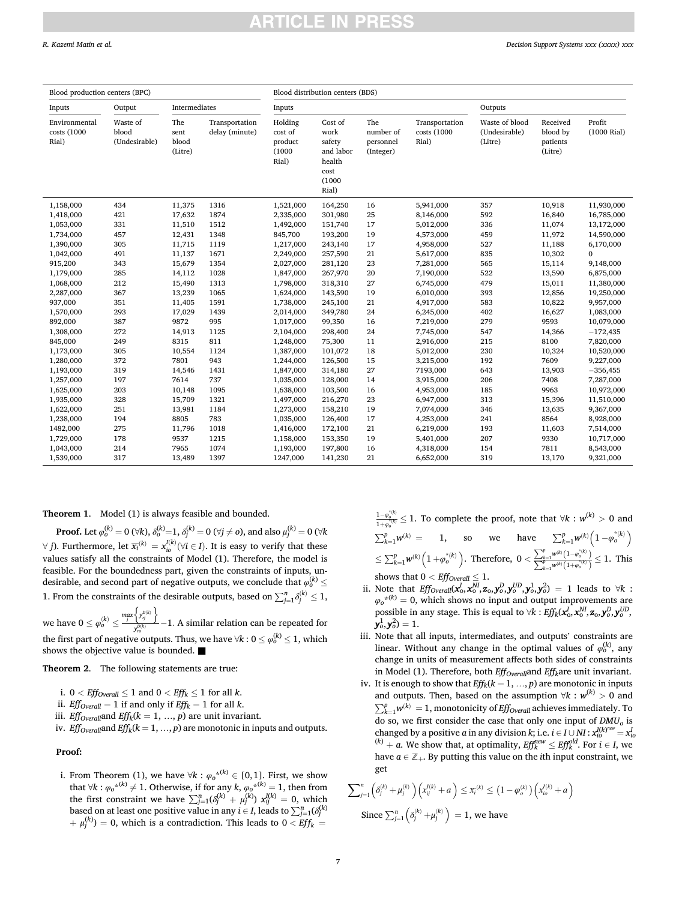| Blood production centers (BPC)        |                                    |                                 | Blood distribution centers (BDS) |                                                  |                                                                             |                                            |                                        |                                            |                                             |                            |
|---------------------------------------|------------------------------------|---------------------------------|----------------------------------|--------------------------------------------------|-----------------------------------------------------------------------------|--------------------------------------------|----------------------------------------|--------------------------------------------|---------------------------------------------|----------------------------|
| Inputs                                | Output                             | Intermediates                   |                                  | Inputs                                           |                                                                             |                                            |                                        | Outputs                                    |                                             |                            |
| Environmental<br>costs (1000<br>Rial) | Waste of<br>blood<br>(Undesirable) | The<br>sent<br>blood<br>(Litre) | Transportation<br>delay (minute) | Holding<br>cost of<br>product<br>(1000)<br>Rial) | Cost of<br>work<br>safety<br>and labor<br>health<br>cost<br>(1000)<br>Rial) | The<br>number of<br>personnel<br>(Integer) | Transportation<br>costs (1000<br>Rial) | Waste of blood<br>(Undesirable)<br>(Litre) | Received<br>blood by<br>patients<br>(Litre) | Profit<br>$(1000$ Rial $)$ |
| 1,158,000                             | 434                                | 11,375                          | 1316                             | 1,521,000                                        | 164,250                                                                     | 16                                         | 5,941,000                              | 357                                        | 10,918                                      | 11,930,000                 |
| 1,418,000                             | 421                                | 17,632                          | 1874                             | 2,335,000                                        | 301,980                                                                     | 25                                         | 8,146,000                              | 592                                        | 16,840                                      | 16,785,000                 |
| 1,053,000                             | 331                                | 11,510                          | 1512                             | 1,492,000                                        | 151,740                                                                     | 17                                         | 5,012,000                              | 336                                        | 11,074                                      | 13,172,000                 |
| 1,734,000                             | 457                                | 12,431                          | 1348                             | 845,700                                          | 193,200                                                                     | 19                                         | 4,573,000                              | 459                                        | 11,972                                      | 14,590,000                 |
| 1,390,000                             | 305                                | 11,715                          | 1119                             | 1,217,000                                        | 243,140                                                                     | 17                                         | 4,958,000                              | 527                                        | 11,188                                      | 6,170,000                  |
| 1,042,000                             | 491                                | 11,137                          | 1671                             | 2,249,000                                        | 257,590                                                                     | 21                                         | 5,617,000                              | 835                                        | 10,302                                      | $\Omega$                   |
| 915,200                               | 343                                | 15,679                          | 1354                             | 2,027,000                                        | 281,120                                                                     | 23                                         | 7,281,000                              | 565                                        | 15,114                                      | 9,148,000                  |
| 1,179,000                             | 285                                | 14,112                          | 1028                             | 1,847,000                                        | 267,970                                                                     | 20                                         | 7,190,000                              | 522                                        | 13,590                                      | 6,875,000                  |
| 1,068,000                             | 212                                | 15,490                          | 1313                             | 1,798,000                                        | 318,310                                                                     | 27                                         | 6,745,000                              | 479                                        | 15,011                                      | 11,380,000                 |
| 2,287,000                             | 367                                | 13,239                          | 1065                             | 1,624,000                                        | 143,590                                                                     | 19                                         | 6,010,000                              | 393                                        | 12,856                                      | 19,250,000                 |
| 937,000                               | 351                                | 11,405                          | 1591                             | 1,738,000                                        | 245,100                                                                     | 21                                         | 4,917,000                              | 583                                        | 10,822                                      | 9,957,000                  |
| 1,570,000                             | 293                                | 17,029                          | 1439                             | 2,014,000                                        | 349,780                                                                     | 24                                         | 6,245,000                              | 402                                        | 16,627                                      | 1,083,000                  |
| 892,000                               | 387                                | 9872                            | 995                              | 1,017,000                                        | 99,350                                                                      | 16                                         | 7,219,000                              | 279                                        | 9593                                        | 10,079,000                 |
| 1,308,000                             | 272                                | 14,913                          | 1125                             | 2,104,000                                        | 298,400                                                                     | 24                                         | 7,745,000                              | 547                                        | 14,366                                      | $-172,435$                 |
| 845,000                               | 249                                | 8315                            | 811                              | 1,248,000                                        | 75,300                                                                      | 11                                         | 2,916,000                              | 215                                        | 8100                                        | 7,820,000                  |
| 1,173,000                             | 305                                | 10,554                          | 1124                             | 1,387,000                                        | 101,072                                                                     | 18                                         | 5,012,000                              | 230                                        | 10,324                                      | 10,520,000                 |
| 1,280,000                             | 372                                | 7801                            | 943                              | 1,244,000                                        | 126,500                                                                     | 15                                         | 3,215,000                              | 192                                        | 7609                                        | 9,227,000                  |
| 1,193,000                             | 319                                | 14,546                          | 1431                             | 1,847,000                                        | 314,180                                                                     | 27                                         | 7193,000                               | 643                                        | 13,903                                      | $-356,455$                 |
| 1,257,000                             | 197                                | 7614                            | 737                              | 1,035,000                                        | 128,000                                                                     | 14                                         | 3,915,000                              | 206                                        | 7408                                        | 7,287,000                  |
| 1,625,000                             | 203                                | 10,148                          | 1095                             | 1,638,000                                        | 103,500                                                                     | 16                                         | 4,953,000                              | 185                                        | 9963                                        | 10,972,000                 |
| 1,935,000                             | 328                                | 15,709                          | 1321                             | 1,497,000                                        | 216,270                                                                     | 23                                         | 6,947,000                              | 313                                        | 15,396                                      | 11,510,000                 |
| 1,622,000                             | 251                                | 13,981                          | 1184                             | 1,273,000                                        | 158,210                                                                     | 19                                         | 7,074,000                              | 346                                        | 13,635                                      | 9,367,000                  |
| 1,238,000                             | 194                                | 8805                            | 783                              | 1,035,000                                        | 126,400                                                                     | 17                                         | 4,253,000                              | 241                                        | 8564                                        | 8,928,000                  |
| 1482,000                              | 275                                | 11,796                          | 1018                             | 1,416,000                                        | 172,100                                                                     | 21                                         | 6,219,000                              | 193                                        | 11,603                                      | 7,514,000                  |
| 1,729,000                             | 178                                | 9537                            | 1215                             | 1,158,000                                        | 153,350                                                                     | 19                                         | 5,401,000                              | 207                                        | 9330                                        | 10,717,000                 |
| 1,043,000                             | 214                                | 7965                            | 1074                             | 1,193,000                                        | 197,800                                                                     | 16                                         | 4,318,000                              | 154                                        | 7811                                        | 8,543,000                  |
| 1,539,000                             | 317                                | 13,489                          | 1397                             | 1247,000                                         | 141,230                                                                     | 21                                         | 6,652,000                              | 319                                        | 13,170                                      | 9,321,000                  |

**Theorem 1**. Model (1) is always feasible and bounded.

**Proof.** Let  $\varphi_o^{(k)} = 0$  (∀ $k$ ),  $\delta_o^{(k)} = 1$ ,  $\delta_j^{(k)} = 0$  (∀ $j \neq o$ ), and also  $\mu_j^{(k)} = 0$  (∀ $k$ ∀ *j*). Furthermore, let  $\overline{x_i}^{(k)} = x_{io}^{I(k)}(\forall i \in I)$ . It is easy to verify that these values satisfy all the constraints of Model (1). Therefore, the model is feasible. For the boundedness part, given the constraints of inputs, undesirable, and second part of negative outputs, we conclude that  $\varphi_o^{(k)}$   $\leq$ 1. From the constraints of the desirable outputs, based on  $\sum_{j=1}^{n} \delta_j^{(k)} \leq 1$ ,

we have  $0 \leq \varphi_0^{(k)} \leq \frac{\max\left\{y_{\tau j}^{D(k)}\right\}}{y^{D(k)}}$  $\frac{1}{y_{p_0}^{(k)}}$  – 1. A similar relation can be repeated for the first part of negative outputs. Thus, we have ∀ $k: 0 \leq \varphi_0^{(k)} \leq 1$ , which shows the objective value is bounded. ■

### **Theorem 2**. The following statements are true:

- i.  $0 < \text{Eff}_{\text{Overall}} \leq 1$  and  $0 < \text{Eff}_k \leq 1$  for all *k*.
- ii. *Eff<sub>Overall</sub>* = 1 if and only if  $Eff_k = 1$  for all *k*.
- iii. *Eff<sub>Overall</sub>and <i>Eff<sub>k</sub>*( $k = 1, ..., p$ ) are unit invariant.
- iv. *Eff<sub>Overall</sub>and <i>Eff<sub>k</sub>*( $k = 1, ..., p$ ) are monotonic in inputs and outputs.

**Proof:** 

i. From Theorem (1), we have  $\forall k : \varphi_0^{*(k)} \in [0,1]$ . First, we show that  $\forall k : \varphi_0^{*k} \neq 1$ . Otherwise, if for any  $k$ ,  $\varphi_0^{*k} = 1$ , then from the first constraint we have  $\sum_{j=1}^{n} (\delta_j^{(k)} + \mu_j^{(k)}) x_{ij}^{(k)} = 0$ , which based on at least one positive value in any *i* ∈ *I*, leads to  $\sum_{j=1}^{n} (\delta_j^{(k)})$  $\mu_f^{(k)}$ ) = 0, which is a contradiction. This leads to  $0 < Eff_k = 1$ 

- $\frac{1-\varphi_b^{*(k)}}{1+\varphi_b^{*(k)}}$  ≤ 1. To complete the proof, note that ∀*k* :  $w^{(k)} > 0$  and  $\overline{C}$ <sup>*p*</sup><sup>*o*</sup> *φ*<sub>0</sub>  $p_{k-1}$   $p_{k+1}^{(k)}$  = 1, so we have  $\sum_{k=1}^{p}$   $w^{(k)}$   $\left(1 - \varphi_0^{*(k)}\right)$  $\leq \sum_{k=1}^{p} w^{(k)} \left( 1 + \varphi_o^{*(k)} \right)$ . Therefore, 0 *<*  $\frac{\sum_{k=1}^{p} w^{(k)} (1 - \varphi_o^{*(k)})}{\sum_{k=1}^{p} w^{(k)} (1 + \varphi_o^{*(k)})} \leq 1$ . This shows that  $0 < \textit{Eff}_{\textit{Overall}} \leq 1.$
- ii. Note that  $Eff_{Overall}(x_0^I, x_0^M, z_0, y_0^D, y_0^{UD}, y_0^1, y_0^2) = 1$  leads to  $\forall k$  :  $\varphi_0^{k(k)} = 0$ , which shows no input and output improvements are possible in any stage. This is equal to  $\forall k : \mathit{Eff}_k(x^I_o, x^{NI}_o, \mathbf{z}_o, \mathbf{y}^D_o, \mathbf{y}^{UD}_o,$  $y_0^1, y_0^2$ ) = 1.
- iii. Note that all inputs, intermediates, and outputs' constraints are linear. Without any change in the optimal values of  $\varphi_0^{(k)}$ , any change in units of measurement affects both sides of constraints in Model (1). Therefore, both  $Eff_{\text{Overall}}$  and  $Eff_k$  are unit invariant.
- iv. It is enough to show that  $Eff_k(k = 1, ..., p)$  are monotonic in inputs and outputs. Then, based on the assumption  $\forall k : w^{(k)} > 0$  and  $\sum_{k=1}^{p} w^{(k)} = 1$ , monotonicity of *Effoverall* achieves immediately. To do so, we first consider the case that only one input of  $DMU<sub>o</sub>$  is changed by a positive *a* in any division *k*; i.e.  $i \in I \cup NI$  :  $x_{io}^{I(k)^{new}} = x_{io}^{I}$  $(k)$  + *a*. We show that, at optimality,  $Eff_k^{new} \leq Eff_k^{old}$ . For  $i \in I$ , we have  $a \in \mathbb{Z}_+$ . By putting this value on the *i*th input constraint, we get

$$
\sum_{j=1}^{n} \left( \delta_j^{(k)} + \mu_j^{(k)} \right) \left( x_{ij}^{I(k)} + a \right) \le \overline{x_i}^{(k)} \le \left( 1 - \varphi_o^{(k)} \right) \left( x_{io}^{I(k)} + a \right)
$$
  
Since  $\sum_{j=1}^{n} \left( \delta_j^{(k)} + \mu_j^{(k)} \right) = 1$ , we have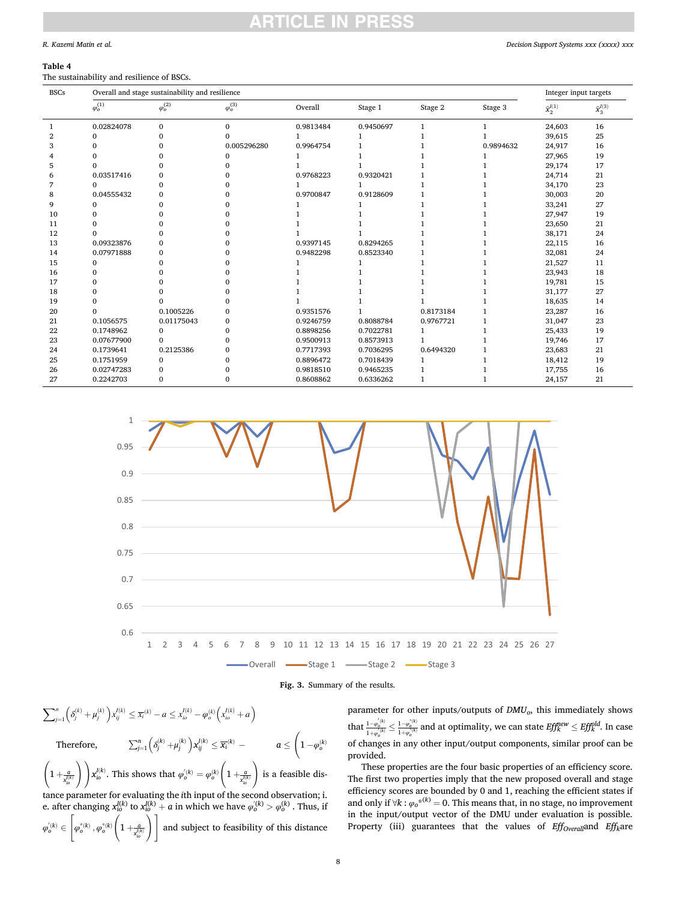### <span id="page-7-0"></span>*R. Kazemi Matin et al.*

### **Table 4**

The sustainability and resilience of BSCs.

| <b>BSCs</b> | Overall and stage sustainability and resilience |                   |                   |           |              |           |           |                                 | Integer input targets           |  |
|-------------|-------------------------------------------------|-------------------|-------------------|-----------|--------------|-----------|-----------|---------------------------------|---------------------------------|--|
|             | $\varphi^{(1)}_o$                               | $\varphi_o^{(2)}$ | $\varphi_o^{(3)}$ | Overall   | Stage 1      | Stage 2   | Stage 3   | $\widehat{\mathbf{x}}_2^{l(1)}$ | $\widehat{\mathbf{x}}_3^{I(3)}$ |  |
| -1          | 0.02824078                                      | $\Omega$          | $\Omega$          | 0.9813484 | 0.9450697    | 1         |           | 24,603                          | 16                              |  |
| 2           | 0                                               | 0                 | $\Omega$          |           |              |           |           | 39,615                          | 25                              |  |
| 3           | O                                               |                   | 0.005296280       | 0.9964754 |              |           | 0.9894632 | 24,917                          | 16                              |  |
|             |                                                 |                   | $\Omega$          |           |              |           |           | 27,965                          | 19                              |  |
| 5           | ∩                                               |                   | $\Omega$          |           |              |           |           | 29,174                          | 17                              |  |
| 6           | 0.03517416                                      |                   |                   | 0.9768223 | 0.9320421    |           |           | 24,714                          | 21                              |  |
| 7           | $\Omega$                                        | $\Omega$          | $\Omega$          |           |              |           |           | 34,170                          | 23                              |  |
| 8           | 0.04555432                                      | $\Omega$          | $\Omega$          | 0.9700847 | 0.9128609    |           |           | 30,003                          | 20                              |  |
| 9           | 0                                               | 0                 | $\Omega$          |           |              |           |           | 33,241                          | 27                              |  |
| 10          | O                                               |                   | $\Omega$          |           |              |           |           | 27,947                          | 19                              |  |
| 11          |                                                 |                   | $\Omega$          |           |              |           |           | 23,650                          | 21                              |  |
| 12          | ∩                                               |                   | $\Omega$          |           |              |           |           | 38,171                          | 24                              |  |
| 13          | 0.09323876                                      |                   | $\Omega$          | 0.9397145 | 0.8294265    |           |           | 22,115                          | 16                              |  |
| 14          | 0.07971888                                      | $\Omega$          | $\Omega$          | 0.9482298 | 0.8523340    |           |           | 32,081                          | 24                              |  |
| 15          | $\Omega$                                        |                   | $\Omega$          |           |              |           |           | 21,527                          | 11                              |  |
| 16          | 0                                               |                   | $\Omega$          |           |              |           |           | 23,943                          | 18                              |  |
| 17          | 0                                               |                   | $\Omega$          |           |              |           |           | 19,781                          | 15                              |  |
| 18          |                                                 |                   | $\Omega$          |           |              |           |           | 31,177                          | 27                              |  |
| 19          | O                                               |                   | 0                 |           |              |           |           | 18,635                          | 14                              |  |
| 20          | O                                               | 0.1005226         | $\Omega$          | 0.9351576 | $\mathbf{1}$ | 0.8173184 |           | 23,287                          | 16                              |  |
| 21          | 0.1056575                                       | 0.01175043        | $\mathbf{0}$      | 0.9246759 | 0.8088784    | 0.9767721 |           | 31,047                          | 23                              |  |
| 22          | 0.1748962                                       | $\mathbf{0}$      | $\mathbf{0}$      | 0.8898256 | 0.7022781    | 1         |           | 25,433                          | 19                              |  |
| 23          | 0.07677900                                      | $\Omega$          | $\Omega$          | 0.9500913 | 0.8573913    |           |           | 19,746                          | 17                              |  |
| 24          | 0.1739641                                       | 0.2125386         | $\Omega$          | 0.7717393 | 0.7036295    | 0.6494320 |           | 23,683                          | 21                              |  |
| 25          | 0.1751959                                       | $\Omega$          | $\Omega$          | 0.8896472 | 0.7018439    |           |           | 18,412                          | 19                              |  |
| 26          | 0.02747283                                      | 0                 | $\Omega$          | 0.9818510 | 0.9465235    |           |           | 17,755                          | 16                              |  |
| 27          | 0.2242703                                       |                   | $\Omega$          | 0.8608862 | 0.6336262    |           |           | 24,157                          | 21                              |  |





$$
\sum_{j=1}^{n} \left( \delta_j^{(k)} + \mu_j^{(k)} \right) x_{ij}^{l(k)} \le \overline{x_i}^{(k)} - a \le x_{io}^{l(k)} - \varphi_o^{(k)} \left( x_{io}^{l(k)} + a \right)
$$
\nTherefore,  
\n
$$
\sum_{j=1}^{n} \left( \delta_j^{(k)} + \mu_j^{(k)} \right) x_{ij}^{l(k)} \le \overline{x_i}^{(k)} - a \le \left( 1 - \varphi_o^{(k)} \right)
$$
\n
$$
\left( 1 + \frac{a}{x_{io}^{l(k)}} \right) x_{io}^{l(k)}.
$$
\nThis shows that  $\varphi_o^{l(k)} = \varphi_o^{(k)} \left( 1 + \frac{a}{x_{io}^{l(k)}} \right)$  is a feasible distance parameter for evaluating the *i*th input of the second observation; i.  
\ne. after changing  $x_{io}^{l(k)}$  to  $x_{io}^{l(k)} + a$  in which we have  $\varphi_o^{l(k)} > \varphi_o^{l(k)}$ . Thus, if  
\n $\varphi_o^{l(k)} \in \left[ \varphi_o^{*(k)}, \varphi_o^{*(k)} \left( 1 + \frac{a}{x_{io}^{l(k)}} \right) \right]$  and subject to feasibility of this distance

 $\overline{\phantom{a}}$ 

 $\mathbf{r}$ 

 $\overline{\phantom{a}}$ 

 $\mathbf{r}$ 

parameter for other inputs/outputs of *DMUo*, this immediately shows that  $\frac{1-\varphi_o^{(k)}}{1+\varphi_o^{(k)}}\leq \frac{1-\varphi_o^{(k)}}{1+\varphi_o^{(k)}}$  and at optimality, we can state  $\mathit{Eff}_k^{\textit{new}}\leq \mathit{Eff}_k^{\textit{old}}.$  In case of changes in any other input/output components, similar proof can be provided.

These properties are the four basic properties of an efficiency score. The first two properties imply that the new proposed overall and stage efficiency scores are bounded by 0 and 1, reaching the efficient states if and only if  $\forall k : \varphi_0^{*k} = 0$ . This means that, in no stage, no improvement in the input/output vector of the DMU under evaluation is possible. Property (iii) guarantees that the values of *Eff<sub>Overall</sub>and Eff<sub>k</sub>are*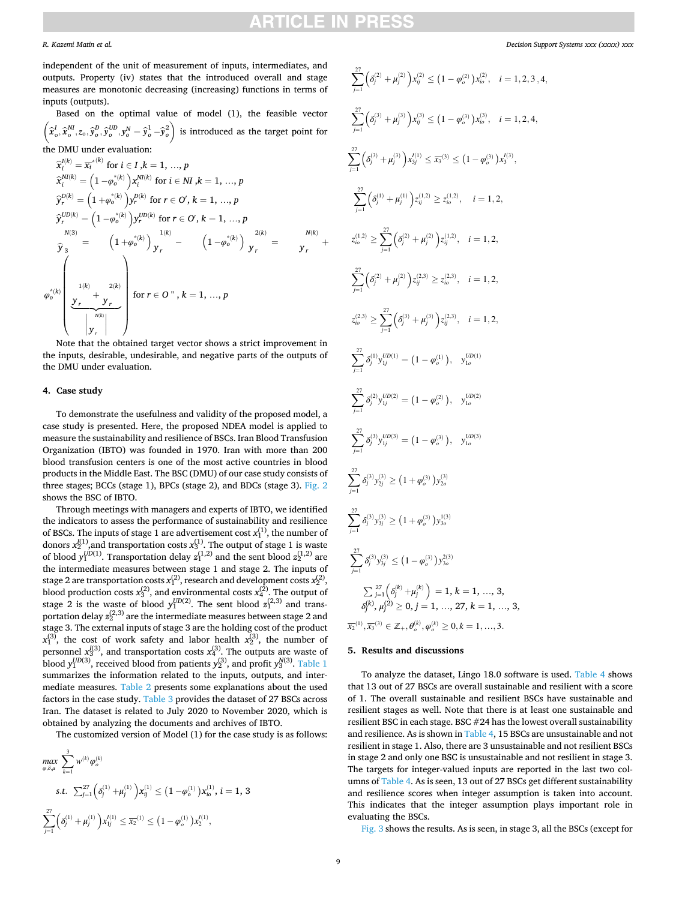### *R. Kazemi Matin et al.*

independent of the unit of measurement of inputs, intermediates, and outputs. Property (iv) states that the introduced overall and stage measures are monotonic decreasing (increasing) functions in terms of inputs (outputs).

Based on the optimal value of model (1), the feasible vector  $\overline{a}$  $\widehat{x}_o^I,\widehat{x}_o^{NI},z_o,\widehat{y}_o^{U\!D},\widehat{y}_o^{UD},y_o^N=\widehat{y}_o^1-\widehat{y}_o^2\ \Big)$  is introduced as the target point for the DMU under evaluation:

$$
\widehat{x}_i^{l(k)} = \overline{x}_i^{*(k)} \text{ for } i \in I, k = 1, ..., p
$$
\n
$$
\widehat{x}_i^{N(lk)} = \left(1 - \varphi_o^{*(k)}\right) x_i^{N(lk)} \text{ for } i \in NI, k = 1, ..., p
$$
\n
$$
\widehat{y}_r^{D(k)} = \left(1 + \varphi_o^{*(k)}\right) y_r^{D(k)} \text{ for } r \in O', k = 1, ..., p
$$
\n
$$
\widehat{y}_r^{U D(k)} = \left(1 - \varphi_o^{*(k)}\right) y_r^{U D(k)} \text{ for } r \in O', k = 1, ..., p
$$
\n
$$
\widehat{y}_3^{N(3)} = \left(1 + \varphi_o^{*(k)}\right) y_r^{N} - \left(1 - \varphi_o^{*(k)}\right) y_r^{2(k)} = y_r + \varphi_o^{*(k)}
$$
\n
$$
\widehat{y}_3^{N(3)} = \left(1 + \varphi_o^{*(k)}\right) y_r^{N} - \left(1 - \varphi_o^{*(k)}\right) y_r = y_r + \varphi_o^{*(k)}
$$
\n
$$
\underbrace{\left(\frac{1}{y_r}\right)^{N(k)}}_{\substack{N(k) \\ N(r)}} \text{ for } r \in O'', k = 1, ..., p
$$

Note that the obtained target vector shows a strict improvement in the inputs, desirable, undesirable, and negative parts of the outputs of the DMU under evaluation.

### **4. Case study**

To demonstrate the usefulness and validity of the proposed model, a case study is presented. Here, the proposed NDEA model is applied to measure the sustainability and resilience of BSCs. Iran Blood Transfusion Organization (IBTO) was founded in 1970. Iran with more than 200 blood transfusion centers is one of the most active countries in blood products in the Middle East. The BSC (DMU) of our case study consists of three stages; BCCs (stage 1), BPCs (stage 2), and BDCs (stage 3). [Fig. 2](#page-3-0)  shows the BSC of IBTO.

Through meetings with managers and experts of IBTO, we identified the indicators to assess the performance of sustainability and resilience of BSCs. The inputs of stage 1 are advertisement cost  $x_1^{(1)}$ , the number of donors  $x_2^{I(1)}$ , and transportation costs  $x_3^{(1)}$ . The output of stage 1 is waste of blood  $y_1^{UD(1)}$ . Transportation delay  $z_1^{(1,2)}$  and the sent blood  $z_2^{(1,2)}$  are the intermediate measures between stage 1 and stage 2. The inputs of stage 2 are transportation costs  $x_1^{(2)}$ , research and development costs  $x_2^{(2)}$ , blood production costs  $x_3^{(2)}$ , and environmental costs  $x_4^{(2)}$ . The output of stage 2 is the waste of blood  $y_1^{UD(2)}$ . The sent blood  $z_1^{(2,3)}$  and transportation delay  $z_{2}^{(2,3)}$  are the intermediate measures between stage 2 and stage 3. The external inputs of stage 3 are the holding cost of the product  $x_1^{(3)}$ , the cost of work safety and labor health  $x_2^{(3)}$ , the number of personnel  $x_3^{[3]}$ , and transportation costs  $x_4^{(3)}$ . The outputs are waste of blood  $y_1^{UD(3)}$ , received blood from patients  $y_2^{(3)}$ , and profit  $y_3^{N(3)}$ . Table 1 summarizes the information related to the inputs, outputs, and intermediate measures. [Table 2](#page-4-0) presents some explanations about the used factors in the case study. [Table 3](#page-5-0) provides the dataset of 27 BSCs across Iran. The dataset is related to July 2020 to November 2020, which is obtained by analyzing the documents and archives of IBTO.

The customized version of Model (1) for the case study is as follows:

$$
\begin{aligned} & \max_{\varphi,\delta,\mu} \; \sum_{k=1}^3 w^{(k)} \varphi^{(k)}_o \\ & \text{s.t.} \; \; \textstyle{\sum_{j=1}^{27}} \Big( \delta_j^{(1)} + \mu_j^{(1)} \Big) \mathbf{x}_{ij}^{(1)} \leq \big( 1 - \varphi_o^{(1)} \big) \mathbf{x}_{io}^{(1)}, \; i=1, \; 3 \\ & \sum_{j=1}^{27} \Big( \delta_j^{(1)} + \mu_j^{(1)} \Big) x_{1j}^{\prime(1)} \leq \overline{\mathbf{x}_2}^{(1)} \leq \big( 1 - \varphi_o^{(1)} \big) x_2^{\prime(1)}, \end{aligned}
$$

$$
\sum_{j=1}^{27} \left( \delta_j^{(2)} + \mu_j^{(2)} \right) x_{ij}^{(2)} \leq (1 - \varphi_o^{(2)}) x_{io}^{(2)}, \quad i = 1, 2, 3, 4,
$$
  
\n
$$
\sum_{j=1}^{27} \left( \delta_j^{(3)} + \mu_j^{(3)} \right) x_{ij}^{(3)} \leq (1 - \varphi_o^{(3)}) x_{io}^{(3)}, \quad i = 1, 2, 4,
$$
  
\n
$$
\sum_{j=1}^{27} \left( \delta_j^{(3)} + \mu_j^{(3)} \right) x_{ij}^{(1)} \leq \overline{x}_3^{(3)} \leq (1 - \varphi_o^{(3)}) x_3^{(3)},
$$
  
\n
$$
\sum_{j=1}^{27} \left( \delta_j^{(1)} + \mu_j^{(1)} \right) z_{ij}^{(1,2)} \geq z_{io}^{(1,2)}, \quad i = 1, 2,
$$
  
\n
$$
z_{io}^{(1,2)} \geq \sum_{j=1}^{27} \left( \delta_j^{(2)} + \mu_j^{(2)} \right) z_{ij}^{(1,2)} = 1, 2,
$$
  
\n
$$
\sum_{j=1}^{27} \left( \delta_j^{(2)} + \mu_j^{(2)} \right) z_{ij}^{(2,3)} \geq z_{io}^{(2,3)}, \quad i = 1, 2,
$$
  
\n
$$
z_{io}^{(2,3)} \geq \sum_{j=1}^{27} \left( \delta_j^{(3)} + \mu_j^{(3)} \right) z_{ij}^{(2,3)}, \quad i = 1, 2,
$$
  
\n
$$
\sum_{j=1}^{27} \delta_j^{(1)} y_{ij}^{UD(1)} = (1 - \varphi_o^{(1)}), y_{io}^{UD(1)}
$$
  
\n
$$
\sum_{j=1}^{27} \delta_j^{(2)} y_{ij}^{UD(2)} = (1 - \varphi_o^{(2)}), y_{io}^{UD(2)}
$$
  
\n
$$
\sum_{j=1}^{27} \delta_j^{(3)} y_{ij}^{(3)} \geq (1 + \varphi_o^{(3)}) y_{3o}^{(3)}
$$
  
\n
$$
\sum_{j=1}^{27} \delta_j^{(3)} y_{ij}^{(3)}
$$

### **5. Results and discussions**

To analyze the dataset, Lingo 18.0 software is used. [Table 4](#page-7-0) shows that 13 out of 27 BSCs are overall sustainable and resilient with a score of 1. The overall sustainable and resilient BSCs have sustainable and resilient stages as well. Note that there is at least one sustainable and resilient BSC in each stage. BSC #24 has the lowest overall sustainability and resilience. As is shown in [Table 4](#page-7-0), 15 BSCs are unsustainable and not resilient in stage 1. Also, there are 3 unsustainable and not resilient BSCs in stage 2 and only one BSC is unsustainable and not resilient in stage 3. The targets for integer-valued inputs are reported in the last two columns of [Table 4.](#page-7-0) As is seen, 13 out of 27 BSCs get different sustainability and resilience scores when integer assumption is taken into account. This indicates that the integer assumption plays important role in evaluating the BSCs.

[Fig. 3](#page-7-0) shows the results. As is seen, in stage 3, all the BSCs (except for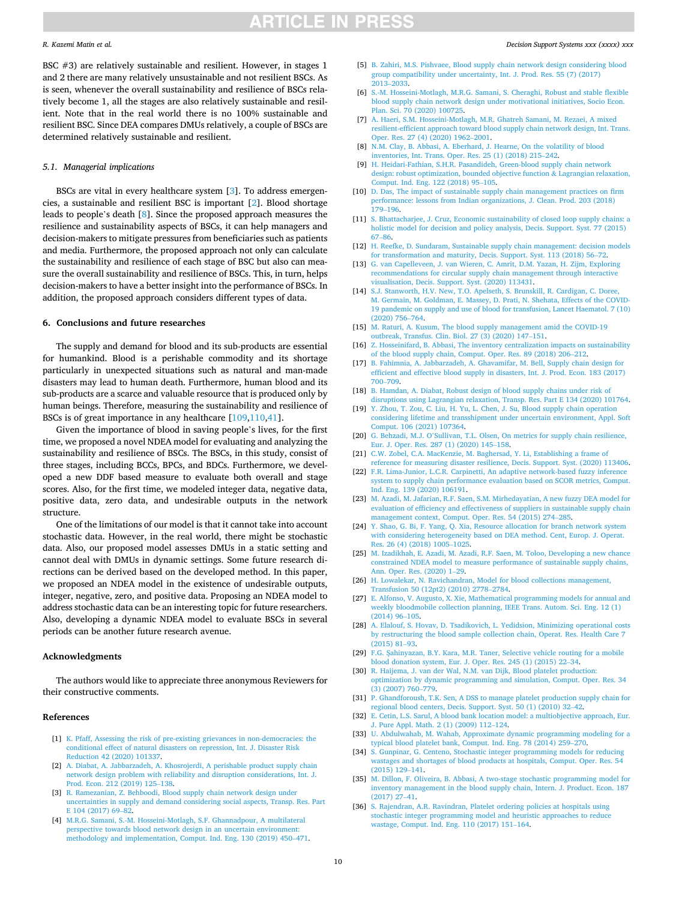### <span id="page-9-0"></span>*R. Kazemi Matin et al.*

*Decision Support Systems xxx (xxxx) xxx*

BSC #3) are relatively sustainable and resilient. However, in stages 1 and 2 there are many relatively unsustainable and not resilient BSCs. As is seen, whenever the overall sustainability and resilience of BSCs relatively become 1, all the stages are also relatively sustainable and resilient. Note that in the real world there is no 100% sustainable and resilient BSC. Since DEA compares DMUs relatively, a couple of BSCs are determined relatively sustainable and resilient.

### *5.1. Managerial implications*

BSCs are vital in every healthcare system [3]. To address emergencies, a sustainable and resilient BSC is important [2]. Blood shortage leads to people's death [8]. Since the proposed approach measures the resilience and sustainability aspects of BSCs, it can help managers and decision-makers to mitigate pressures from beneficiaries such as patients and media. Furthermore, the proposed approach not only can calculate the sustainability and resilience of each stage of BSC but also can measure the overall sustainability and resilience of BSCs. This, in turn, helps decision-makers to have a better insight into the performance of BSCs. In addition, the proposed approach considers different types of data.

### **6. Conclusions and future researches**

The supply and demand for blood and its sub-products are essential for humankind. Blood is a perishable commodity and its shortage particularly in unexpected situations such as natural and man-made disasters may lead to human death. Furthermore, human blood and its sub-products are a scarce and valuable resource that is produced only by human beings. Therefore, measuring the sustainability and resilience of BSCs is of great importance in any healthcare [\[109,110,](#page-11-0)[41\]](#page-10-0).

Given the importance of blood in saving people's lives, for the first time, we proposed a novel NDEA model for evaluating and analyzing the sustainability and resilience of BSCs. The BSCs, in this study, consist of three stages, including BCCs, BPCs, and BDCs. Furthermore, we developed a new DDF based measure to evaluate both overall and stage scores. Also, for the first time, we modeled integer data, negative data, positive data, zero data, and undesirable outputs in the network structure.

One of the limitations of our model is that it cannot take into account stochastic data. However, in the real world, there might be stochastic data. Also, our proposed model assesses DMUs in a static setting and cannot deal with DMUs in dynamic settings. Some future research directions can be derived based on the developed method. In this paper, we proposed an NDEA model in the existence of undesirable outputs, integer, negative, zero, and positive data. Proposing an NDEA model to address stochastic data can be an interesting topic for future researchers. Also, developing a dynamic NDEA model to evaluate BSCs in several periods can be another future research avenue.

### **Acknowledgments**

The authors would like to appreciate three anonymous Reviewers for their constructive comments.

### **References**

- [1] [K. Pfaff, Assessing the risk of pre-existing grievances in non-democracies: the](http://refhub.elsevier.com/S0167-9236(21)00139-1/rf0355)  [conditional effect of natural disasters on repression, Int. J. Disaster Risk](http://refhub.elsevier.com/S0167-9236(21)00139-1/rf0355) [Reduction 42 \(2020\) 101337](http://refhub.elsevier.com/S0167-9236(21)00139-1/rf0355).
- [2] A. Diabat, A. Jabbarzadeh, A. Khosrojerdi, A perishable product supply chain [network design problem with reliability and disruption considerations, Int. J.](http://refhub.elsevier.com/S0167-9236(21)00139-1/rf0100) [Prod. Econ. 212 \(2019\) 125](http://refhub.elsevier.com/S0167-9236(21)00139-1/rf0100)–138.
- [3] [R. Ramezanian, Z. Behboodi, Blood supply chain network design under](http://refhub.elsevier.com/S0167-9236(21)00139-1/rf0375)  [uncertainties in supply and demand considering social aspects, Transp. Res. Part](http://refhub.elsevier.com/S0167-9236(21)00139-1/rf0375)  [E 104 \(2017\) 69](http://refhub.elsevier.com/S0167-9236(21)00139-1/rf0375)–82.
- [4] [M.R.G. Samani, S.-M. Hosseini-Motlagh, S.F. Ghannadpour, A multilateral](http://refhub.elsevier.com/S0167-9236(21)00139-1/rf0400) [perspective towards blood network design in an uncertain environment:](http://refhub.elsevier.com/S0167-9236(21)00139-1/rf0400) [methodology and implementation, Comput. Ind. Eng. 130 \(2019\) 450](http://refhub.elsevier.com/S0167-9236(21)00139-1/rf0400)–471.
- [5] [B. Zahiri, M.S. Pishvaee, Blood supply chain network design considering blood](http://refhub.elsevier.com/S0167-9236(21)00139-1/rf0480) [group compatibility under uncertainty, Int. J. Prod. Res. 55 \(7\) \(2017\)](http://refhub.elsevier.com/S0167-9236(21)00139-1/rf0480) 2013–[2033](http://refhub.elsevier.com/S0167-9236(21)00139-1/rf0480).
- [6] [S.-M. Hosseini-Motlagh, M.R.G. Samani, S. Cheraghi, Robust and stable flexible](http://refhub.elsevier.com/S0167-9236(21)00139-1/rf0195)  [blood supply chain network design under motivational initiatives, Socio Econ.](http://refhub.elsevier.com/S0167-9236(21)00139-1/rf0195)  [Plan. Sci. 70 \(2020\) 100725](http://refhub.elsevier.com/S0167-9236(21)00139-1/rf0195).
- [7] [A. Haeri, S.M. Hosseini-Motlagh, M.R. Ghatreh Samani, M. Rezaei, A mixed](http://refhub.elsevier.com/S0167-9236(21)00139-1/rf0160)  [resilient-efficient approach toward blood supply chain network design, Int. Trans.](http://refhub.elsevier.com/S0167-9236(21)00139-1/rf0160)  [Oper. Res. 27 \(4\) \(2020\) 1962](http://refhub.elsevier.com/S0167-9236(21)00139-1/rf0160)–2001.
- [8] [N.M. Clay, B. Abbasi, A. Eberhard, J. Hearne, On the volatility of blood](http://refhub.elsevier.com/S0167-9236(21)00139-1/rf0075)  [inventories, Int. Trans. Oper. Res. 25 \(1\) \(2018\) 215](http://refhub.elsevier.com/S0167-9236(21)00139-1/rf0075)–242.
- [9] [H. Heidari-Fathian, S.H.R. Pasandideh, Green-blood supply chain network](http://refhub.elsevier.com/S0167-9236(21)00139-1/rf0185)  [design: robust optimization, bounded objective function](http://refhub.elsevier.com/S0167-9236(21)00139-1/rf0185) & Lagrangian relaxation, [Comput. Ind. Eng. 122 \(2018\) 95](http://refhub.elsevier.com/S0167-9236(21)00139-1/rf0185)–105.
- [10] D. Das, The impact of sustainable supply chain management practices on firm [performance: lessons from Indian organizations, J. Clean. Prod. 203 \(2018\)](http://refhub.elsevier.com/S0167-9236(21)00139-1/rf0085) 179–[196.](http://refhub.elsevier.com/S0167-9236(21)00139-1/rf0085)
- [11] [S. Bhattacharjee, J. Cruz, Economic sustainability of closed loop supply chains: a](http://refhub.elsevier.com/S0167-9236(21)00139-1/rf0045)  holistic model for decision and policy analysis, Decis. Support. Syst. 77 (2015) 67–[86.](http://refhub.elsevier.com/S0167-9236(21)00139-1/rf0045)
- [12] [H. Reefke, D. Sundaram, Sustainable supply chain management: decision models](http://refhub.elsevier.com/S0167-9236(21)00139-1/rf0390)  [for transformation and maturity, Decis. Support. Syst. 113 \(2018\) 56](http://refhub.elsevier.com/S0167-9236(21)00139-1/rf0390)–72.
- [13] [G. van Capelleveen, J. van Wieren, C. Amrit, D.M. Yazan, H. Zijm, Exploring](http://refhub.elsevier.com/S0167-9236(21)00139-1/rf0465)  [recommendations for circular supply chain management through interactive](http://refhub.elsevier.com/S0167-9236(21)00139-1/rf0465)  [visualisation, Decis. Support. Syst. \(2020\) 113431.](http://refhub.elsevier.com/S0167-9236(21)00139-1/rf0465)
- [14] [S.J. Stanworth, H.V. New, T.O. Apelseth, S. Brunskill, R. Cardigan, C. Doree,](http://refhub.elsevier.com/S0167-9236(21)00139-1/rf0430) [M. Germain, M. Goldman, E. Massey, D. Prati, N. Shehata, Effects of the COVID-](http://refhub.elsevier.com/S0167-9236(21)00139-1/rf0430)[19 pandemic on supply and use of blood for transfusion, Lancet Haematol. 7 \(10\)](http://refhub.elsevier.com/S0167-9236(21)00139-1/rf0430)  [\(2020\) 756](http://refhub.elsevier.com/S0167-9236(21)00139-1/rf0430)–764.
- [15] [M. Raturi, A. Kusum, The blood supply management amid the COVID-19](http://refhub.elsevier.com/S0167-9236(21)00139-1/rf0385)  [outbreak, Transfus. Clin. Biol. 27 \(3\) \(2020\) 147](http://refhub.elsevier.com/S0167-9236(21)00139-1/rf0385)–151.
- [16] [Z. Hosseinifard, B. Abbasi, The inventory centralization impacts on sustainability](http://refhub.elsevier.com/S0167-9236(21)00139-1/rf0210)  [of the blood supply chain, Comput. Oper. Res. 89 \(2018\) 206](http://refhub.elsevier.com/S0167-9236(21)00139-1/rf0210)–212.
- [17] [B. Fahimnia, A. Jabbarzadeh, A. Ghavamifar, M. Bell, Supply chain design for](http://refhub.elsevier.com/S0167-9236(21)00139-1/rf0130)  [efficient and effective blood supply in disasters, Int. J. Prod. Econ. 183 \(2017\)](http://refhub.elsevier.com/S0167-9236(21)00139-1/rf0130) 700–[709.](http://refhub.elsevier.com/S0167-9236(21)00139-1/rf0130)
- [18] [B. Hamdan, A. Diabat, Robust design of blood supply chains under risk of](http://refhub.elsevier.com/S0167-9236(21)00139-1/rf0180) [disruptions using Lagrangian relaxation, Transp. Res. Part E 134 \(2020\) 101764.](http://refhub.elsevier.com/S0167-9236(21)00139-1/rf0180)
- [19] [Y. Zhou, T. Zou, C. Liu, H. Yu, L. Chen, J. Su, Blood supply chain operation](http://refhub.elsevier.com/S0167-9236(21)00139-1/rf0490)  [considering lifetime and transshipment under uncertain environment, Appl. Soft](http://refhub.elsevier.com/S0167-9236(21)00139-1/rf0490)  [Comput. 106 \(2021\) 107364.](http://refhub.elsevier.com/S0167-9236(21)00139-1/rf0490)
- [20] G. Behzadi, M.J. O'[Sullivan, T.L. Olsen, On metrics for supply chain resilience,](http://refhub.elsevier.com/S0167-9236(21)00139-1/rf0035) [Eur. J. Oper. Res. 287 \(1\) \(2020\) 145](http://refhub.elsevier.com/S0167-9236(21)00139-1/rf0035)–158.
- [21] [C.W. Zobel, C.A. MacKenzie, M. Baghersad, Y. Li, Establishing a frame of](http://refhub.elsevier.com/S0167-9236(21)00139-1/rf0495) [reference for measuring disaster resilience, Decis. Support. Syst. \(2020\) 113406.](http://refhub.elsevier.com/S0167-9236(21)00139-1/rf0495)
- [22] [F.R. Lima-Junior, L.C.R. Carpinetti, An adaptive network-based fuzzy inference](http://refhub.elsevier.com/S0167-9236(21)00139-1/rf0310)  [system to supply chain performance evaluation based on SCOR metrics, Comput.](http://refhub.elsevier.com/S0167-9236(21)00139-1/rf0310)  [Ind. Eng. 139 \(2020\) 106191.](http://refhub.elsevier.com/S0167-9236(21)00139-1/rf0310)
- [23] [M. Azadi, M. Jafarian, R.F. Saen, S.M. Mirhedayatian, A new fuzzy DEA model for](http://refhub.elsevier.com/S0167-9236(21)00139-1/rf0025)  [evaluation of efficiency and effectiveness of suppliers in sustainable supply chain](http://refhub.elsevier.com/S0167-9236(21)00139-1/rf0025)  [management context, Comput. Oper. Res. 54 \(2015\) 274](http://refhub.elsevier.com/S0167-9236(21)00139-1/rf0025)–285.
- [24] [Y. Shao, G. Bi, F. Yang, Q. Xia, Resource allocation for branch network system](http://refhub.elsevier.com/S0167-9236(21)00139-1/optItek8S2jIE)  [with considering heterogeneity based on DEA method. Cent, Europ. J. Operat.](http://refhub.elsevier.com/S0167-9236(21)00139-1/optItek8S2jIE)  [Res. 26 \(4\) \(2018\) 1005](http://refhub.elsevier.com/S0167-9236(21)00139-1/optItek8S2jIE)–1025.
- [25] [M. Izadikhah, E. Azadi, M. Azadi, R.F. Saen, M. Toloo, Developing a new chance](http://refhub.elsevier.com/S0167-9236(21)00139-1/rf0215)  [constrained NDEA model to measure performance of sustainable supply chains,](http://refhub.elsevier.com/S0167-9236(21)00139-1/rf0215)  [Ann. Oper. Res. \(2020\) 1](http://refhub.elsevier.com/S0167-9236(21)00139-1/rf0215)–29.
- [26] H. Lowalekar, N. Ravichandran, Model for blood collections management [Transfusion 50 \(12pt2\) \(2010\) 2778](http://refhub.elsevier.com/S0167-9236(21)00139-1/rf0330)–2784.
- [27] [E. Alfonso, V. Augusto, X. Xie, Mathematical programming models for annual and](http://refhub.elsevier.com/S0167-9236(21)00139-1/rf0015)  [weekly bloodmobile collection planning, IEEE Trans. Autom. Sci. Eng. 12 \(1\)](http://refhub.elsevier.com/S0167-9236(21)00139-1/rf0015) [\(2014\) 96](http://refhub.elsevier.com/S0167-9236(21)00139-1/rf0015)–105.
- [28] [A. Elalouf, S. Hovav, D. Tsadikovich, L. Yedidsion, Minimizing operational costs](http://refhub.elsevier.com/S0167-9236(21)00139-1/rf0115)  [by restructuring the blood sample collection chain, Operat. Res. Health Care 7](http://refhub.elsevier.com/S0167-9236(21)00139-1/rf0115) [\(2015\) 81](http://refhub.elsevier.com/S0167-9236(21)00139-1/rf0115)–93.
- [29] F.G. Şahinyazan, B.Y. Kara, M.R. Taner, Selective vehicle routing for a mobile [blood donation system, Eur. J. Oper. Res. 245 \(1\) \(2015\) 22](http://refhub.elsevier.com/S0167-9236(21)00139-1/rf0395)–34.
- [30] [R. Haijema, J. van der Wal, N.M. van Dijk, Blood platelet production:](http://refhub.elsevier.com/S0167-9236(21)00139-1/rf0170)  [optimization by dynamic programming and simulation, Comput. Oper. Res. 34](http://refhub.elsevier.com/S0167-9236(21)00139-1/rf0170)  [\(3\) \(2007\) 760](http://refhub.elsevier.com/S0167-9236(21)00139-1/rf0170)–779.
- [31] [P. Ghandforoush, T.K. Sen, A DSS to manage platelet production supply chain for](http://refhub.elsevier.com/S0167-9236(21)00139-1/rf0145)  [regional blood centers, Decis. Support. Syst. 50 \(1\) \(2010\) 32](http://refhub.elsevier.com/S0167-9236(21)00139-1/rf0145)–42.
- [32] [E. Cetin, L.S. Sarul, A blood bank location model: a multiobjective approach, Eur.](http://refhub.elsevier.com/S0167-9236(21)00139-1/rf0055)  [J. Pure Appl. Math. 2 \(1\) \(2009\) 112](http://refhub.elsevier.com/S0167-9236(21)00139-1/rf0055)–124.
- [33] [U. Abdulwahab, M. Wahab, Approximate dynamic programming modeling for a](http://refhub.elsevier.com/S0167-9236(21)00139-1/rf0005) [typical blood platelet bank, Comput. Ind. Eng. 78 \(2014\) 259](http://refhub.elsevier.com/S0167-9236(21)00139-1/rf0005)–270.
- [34] [S. Gunpinar, G. Centeno, Stochastic integer programming models for reducing](http://refhub.elsevier.com/S0167-9236(21)00139-1/rf0150) [wastages and shortages of blood products at hospitals, Comput. Oper. Res. 54](http://refhub.elsevier.com/S0167-9236(21)00139-1/rf0150) [\(2015\) 129](http://refhub.elsevier.com/S0167-9236(21)00139-1/rf0150)–141.
- [35] [M. Dillon, F. Oliveira, B. Abbasi, A two-stage stochastic programming model for](http://refhub.elsevier.com/S0167-9236(21)00139-1/optEd3Dww6rbb)  [inventory management in the blood supply chain, Intern. J. Product. Econ. 187](http://refhub.elsevier.com/S0167-9236(21)00139-1/optEd3Dww6rbb) [\(2017\) 27](http://refhub.elsevier.com/S0167-9236(21)00139-1/optEd3Dww6rbb)–41.
- [36] [S. Rajendran, A.R. Ravindran, Platelet ordering policies at hospitals using](http://refhub.elsevier.com/S0167-9236(21)00139-1/rf0370) [stochastic integer programming model and heuristic approaches to reduce](http://refhub.elsevier.com/S0167-9236(21)00139-1/rf0370)  [wastage, Comput. Ind. Eng. 110 \(2017\) 151](http://refhub.elsevier.com/S0167-9236(21)00139-1/rf0370)–164.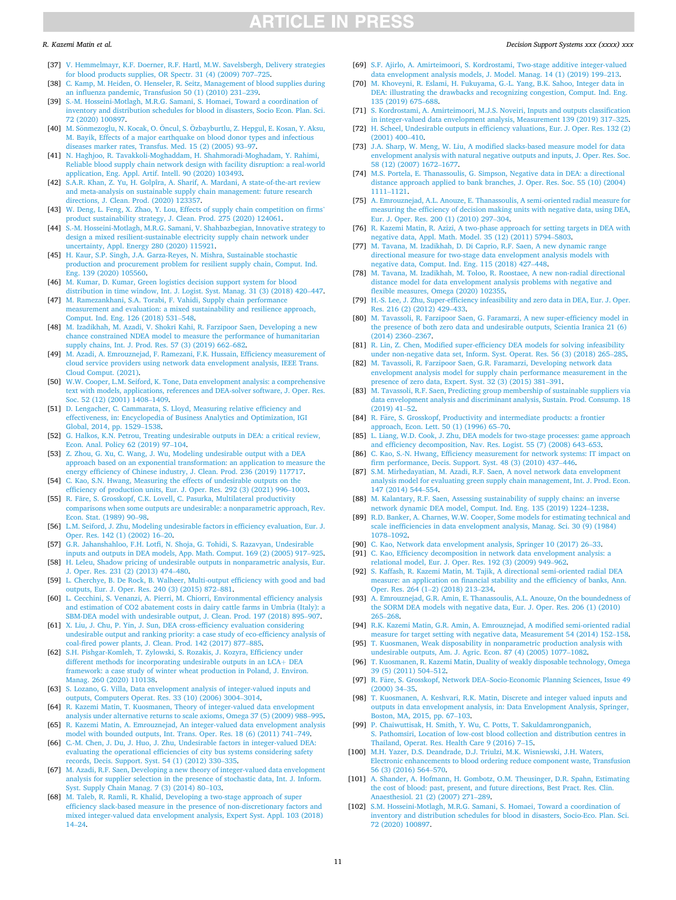### <span id="page-10-0"></span>*R. Kazemi Matin et al.*

- [37] [V. Hemmelmayr, K.F. Doerner, R.F. Hartl, M.W. Savelsbergh, Delivery strategies](http://refhub.elsevier.com/S0167-9236(21)00139-1/rf0190)  [for blood products supplies, OR Spectr. 31 \(4\) \(2009\) 707](http://refhub.elsevier.com/S0167-9236(21)00139-1/rf0190)–725<sup>-</sup>
- [38] [C. Kamp, M. Heiden, O. Henseler, R. Seitz, Management of blood supplies during](http://refhub.elsevier.com/S0167-9236(21)00139-1/optYnrj8wQYDe)  [an influenza pandemic, Transfusion 50 \(1\) \(2010\) 231](http://refhub.elsevier.com/S0167-9236(21)00139-1/optYnrj8wQYDe)–239.
- [39] [S.-M. Hosseini-Motlagh, M.R.G. Samani, S. Homaei, Toward a coordination of](http://refhub.elsevier.com/S0167-9236(21)00139-1/rf0200) [inventory and distribution schedules for blood in disasters, Socio Econ. Plan. Sci.](http://refhub.elsevier.com/S0167-9236(21)00139-1/rf0200)  [72 \(2020\) 100897](http://refhub.elsevier.com/S0167-9236(21)00139-1/rf0200).
- [40] M. Sönmezoglu, N. Kocak, O. Öncul, S. Özbayburtlu, Z. Hepgul, E. Kosan, Y. Aksu, [M. Bayik, Effects of a major earthquake on blood donor types and infectious](http://refhub.elsevier.com/S0167-9236(21)00139-1/rf0425)  [diseases marker rates, Transfus. Med. 15 \(2\) \(2005\) 93](http://refhub.elsevier.com/S0167-9236(21)00139-1/rf0425)–97.
- [41] [N. Haghjoo, R. Tavakkoli-Moghaddam, H. Shahmoradi-Moghadam, Y. Rahimi,](http://refhub.elsevier.com/S0167-9236(21)00139-1/rf0165) [Reliable blood supply chain network design with facility disruption: a real-world](http://refhub.elsevier.com/S0167-9236(21)00139-1/rf0165)  [application, Eng. Appl. Artif. Intell. 90 \(2020\) 103493](http://refhub.elsevier.com/S0167-9236(21)00139-1/rf0165).
- [42] [S.A.R. Khan, Z. Yu, H. Golpîra, A. Sharif, A. Mardani, A state-of-the-art review](http://refhub.elsevier.com/S0167-9236(21)00139-1/rf0265)  [and meta-analysis on sustainable supply chain management: future research](http://refhub.elsevier.com/S0167-9236(21)00139-1/rf0265) [directions, J. Clean. Prod. \(2020\) 123357.](http://refhub.elsevier.com/S0167-9236(21)00139-1/rf0265)
- [43] [W. Deng, L. Feng, X. Zhao, Y. Lou, Effects of supply chain competition on firms](http://refhub.elsevier.com/S0167-9236(21)00139-1/rf0090)' [product sustainability strategy, J. Clean. Prod. 275 \(2020\) 124061](http://refhub.elsevier.com/S0167-9236(21)00139-1/rf0090).
- [44] [S.-M. Hosseini-Motlagh, M.R.G. Samani, V. Shahbazbegian, Innovative strategy to](http://refhub.elsevier.com/S0167-9236(21)00139-1/rf0205)  [design a mixed resilient-sustainable electricity supply chain network under](http://refhub.elsevier.com/S0167-9236(21)00139-1/rf0205) [uncertainty, Appl. Energy 280 \(2020\) 115921](http://refhub.elsevier.com/S0167-9236(21)00139-1/rf0205).
- [45] [H. Kaur, S.P. Singh, J.A. Garza-Reyes, N. Mishra, Sustainable stochastic](http://refhub.elsevier.com/S0167-9236(21)00139-1/rf0255) [production and procurement problem for resilient supply chain, Comput. Ind.](http://refhub.elsevier.com/S0167-9236(21)00139-1/rf0255)  .<br>[Eng. 139 \(2020\) 105560](http://refhub.elsevier.com/S0167-9236(21)00139-1/rf0255).
- [46] [M. Kumar, D. Kumar, Green logistics decision support system for blood](http://refhub.elsevier.com/S0167-9236(21)00139-1/rf0275)  [distribution in time window, Int. J. Logist. Syst. Manag. 31 \(3\) \(2018\) 420](http://refhub.elsevier.com/S0167-9236(21)00139-1/rf0275)–447.
- [47] [M. Ramezankhani, S.A. Torabi, F. Vahidi, Supply chain performance](http://refhub.elsevier.com/S0167-9236(21)00139-1/rf0380) [measurement and evaluation: a mixed sustainability and resilience approach,](http://refhub.elsevier.com/S0167-9236(21)00139-1/rf0380) [Comput. Ind. Eng. 126 \(2018\) 531](http://refhub.elsevier.com/S0167-9236(21)00139-1/rf0380)–548.
- [48] [M. Izadikhah, M. Azadi, V. Shokri Kahi, R. Farzipoor Saen, Developing a new](http://refhub.elsevier.com/S0167-9236(21)00139-1/rf0220)  [chance constrained NDEA model to measure the performance of humanitarian](http://refhub.elsevier.com/S0167-9236(21)00139-1/rf0220)  [supply chains, Int. J. Prod. Res. 57 \(3\) \(2019\) 662](http://refhub.elsevier.com/S0167-9236(21)00139-1/rf0220)–682.
- [49] [M. Azadi, A. Emrouznejad, F. Ramezani, F.K. Hussain, Efficiency measurement of](http://refhub.elsevier.com/S0167-9236(21)00139-1/rf0020)  [cloud service providers using network data envelopment analysis, IEEE Trans.](http://refhub.elsevier.com/S0167-9236(21)00139-1/rf0020)  [Cloud Comput. \(2021\)](http://refhub.elsevier.com/S0167-9236(21)00139-1/rf0020).
- [50] [W.W. Cooper, L.M. Seiford, K. Tone, Data envelopment analysis: a comprehensive](http://refhub.elsevier.com/S0167-9236(21)00139-1/rf0080)  [text with models, applications, references and DEA-solver software, J. Oper. Res.](http://refhub.elsevier.com/S0167-9236(21)00139-1/rf0080)  [Soc. 52 \(12\) \(2001\) 1408](http://refhub.elsevier.com/S0167-9236(21)00139-1/rf0080)–1409.
- [51] [D. Lengacher, C. Cammarata, S. Lloyd, Measuring relative efficiency and](http://refhub.elsevier.com/S0167-9236(21)00139-1/rf0300) [effectiveness, in: Encyclopedia of Business Analytics and Optimization, IGI](http://refhub.elsevier.com/S0167-9236(21)00139-1/rf0300)  [Global, 2014, pp. 1529](http://refhub.elsevier.com/S0167-9236(21)00139-1/rf0300)–1538.
- [52] [G. Halkos, K.N. Petrou, Treating undesirable outputs in DEA: a critical review,](http://refhub.elsevier.com/S0167-9236(21)00139-1/rf0175)  [Econ. Anal. Policy 62 \(2019\) 97](http://refhub.elsevier.com/S0167-9236(21)00139-1/rf0175)–104.
- [53] [Z. Zhou, G. Xu, C. Wang, J. Wu, Modeling undesirable output with a DEA](http://refhub.elsevier.com/S0167-9236(21)00139-1/rf0485) [approach based on an exponential transformation: an application to measure the](http://refhub.elsevier.com/S0167-9236(21)00139-1/rf0485)  [energy efficiency of Chinese industry, J. Clean. Prod. 236 \(2019\) 117717](http://refhub.elsevier.com/S0167-9236(21)00139-1/rf0485).
- [54] [C. Kao, S.N. Hwang, Measuring the effects of undesirable outputs on the](http://refhub.elsevier.com/S0167-9236(21)00139-1/rf0250) [efficiency of production units, Eur. J. Oper. Res. 292 \(3\) \(2021\) 996](http://refhub.elsevier.com/S0167-9236(21)00139-1/rf0250)–1003.
- [55] R. Färe, [S. Grosskopf, C.K. Lovell, C. Pasurka, Multilateral productivity](http://refhub.elsevier.com/S0167-9236(21)00139-1/rf0140) [comparisons when some outputs are undesirable: a nonparametric approach, Rev.](http://refhub.elsevier.com/S0167-9236(21)00139-1/rf0140)  [Econ. Stat. \(1989\) 90](http://refhub.elsevier.com/S0167-9236(21)00139-1/rf0140)–98.
- [56] [L.M. Seiford, J. Zhu, Modeling undesirable factors in efficiency evaluation, Eur. J.](http://refhub.elsevier.com/S0167-9236(21)00139-1/rf0410)  [Oper. Res. 142 \(1\) \(2002\) 16](http://refhub.elsevier.com/S0167-9236(21)00139-1/rf0410)–20.
- [57] [G.R. Jahanshahloo, F.H. Lotfi, N. Shoja, G. Tohidi, S. Razavyan, Undesirable](http://refhub.elsevier.com/S0167-9236(21)00139-1/optmoG6uwyKwF) [inputs and outputs in DEA models, App. Math. Comput. 169 \(2\) \(2005\) 917](http://refhub.elsevier.com/S0167-9236(21)00139-1/optmoG6uwyKwF)–925.
- [58] [H. Leleu, Shadow pricing of undesirable outputs in nonparametric analysis, Eur.](http://refhub.elsevier.com/S0167-9236(21)00139-1/rf0295)  [J. Oper. Res. 231 \(2\) \(2013\) 474](http://refhub.elsevier.com/S0167-9236(21)00139-1/rf0295)–480.
- [59] [L. Cherchye, B. De Rock, B. Walheer, Multi-output efficiency with good and bad](http://refhub.elsevier.com/S0167-9236(21)00139-1/rf0070)  [outputs, Eur. J. Oper. Res. 240 \(3\) \(2015\) 872](http://refhub.elsevier.com/S0167-9236(21)00139-1/rf0070)–881.
- [60] [L. Cecchini, S. Venanzi, A. Pierri, M. Chiorri, Environmental efficiency analysis](http://refhub.elsevier.com/S0167-9236(21)00139-1/rf0050) [and estimation of CO2 abatement costs in dairy cattle farms in Umbria \(Italy\): a](http://refhub.elsevier.com/S0167-9236(21)00139-1/rf0050)  [SBM-DEA model with undesirable output, J. Clean. Prod. 197 \(2018\) 895](http://refhub.elsevier.com/S0167-9236(21)00139-1/rf0050)–907.
- [61] [X. Liu, J. Chu, P. Yin, J. Sun, DEA cross-efficiency evaluation considering](http://refhub.elsevier.com/S0167-9236(21)00139-1/rf0320) [undesirable output and ranking priority: a case study of eco-efficiency analysis of](http://refhub.elsevier.com/S0167-9236(21)00139-1/rf0320)  [coal-fired power plants, J. Clean. Prod. 142 \(2017\) 877](http://refhub.elsevier.com/S0167-9236(21)00139-1/rf0320)–885.
- [62] [S.H. Pishgar-Komleh, T. Zylowski, S. Rozakis, J. Kozyra, Efficiency under](http://refhub.elsevier.com/S0167-9236(21)00139-1/rf0360)  [different methods for incorporating undesirable outputs in an LCA](http://refhub.elsevier.com/S0167-9236(21)00139-1/rf0360)+ DEA [framework: a case study of winter wheat production in Poland, J. Environ.](http://refhub.elsevier.com/S0167-9236(21)00139-1/rf0360) [Manag. 260 \(2020\) 110138.](http://refhub.elsevier.com/S0167-9236(21)00139-1/rf0360)
- [63] [S. Lozano, G. Villa, Data envelopment analysis of integer-valued inputs and](http://refhub.elsevier.com/S0167-9236(21)00139-1/optE919qgY1EW)  [outputs, Computers Operat. Res. 33 \(10\) \(2006\) 3004](http://refhub.elsevier.com/S0167-9236(21)00139-1/optE919qgY1EW)–3014.
- [64] [R. Kazemi Matin, T. Kuosmanen, Theory of integer-valued data envelopment](http://refhub.elsevier.com/S0167-9236(21)00139-1/rf0345) [analysis under alternative returns to scale axioms, Omega 37 \(5\) \(2009\) 988](http://refhub.elsevier.com/S0167-9236(21)00139-1/rf0345)–995.
- [65] [R. Kazemi Matin, A. Emrouznejad, An integer-valued data envelopment analysis](http://refhub.elsevier.com/S0167-9236(21)00139-1/rf0260)  [model with bounded outputs, Int. Trans. Oper. Res. 18 \(6\) \(2011\) 741](http://refhub.elsevier.com/S0167-9236(21)00139-1/rf0260)–749.
- [66] [C.-M. Chen, J. Du, J. Huo, J. Zhu, Undesirable factors in integer-valued DEA:](http://refhub.elsevier.com/S0167-9236(21)00139-1/rf0065)  [evaluating the operational efficiencies of city bus systems considering safety](http://refhub.elsevier.com/S0167-9236(21)00139-1/rf0065) [records, Decis. Support. Syst. 54 \(1\) \(2012\) 330](http://refhub.elsevier.com/S0167-9236(21)00139-1/rf0065)–335.
- [67] [M. Azadi, R.F. Saen, Developing a new theory of integer-valued data envelopment](http://refhub.elsevier.com/S0167-9236(21)00139-1/rf0030)  [analysis for supplier selection in the presence of stochastic data, Int. J. Inform.](http://refhub.elsevier.com/S0167-9236(21)00139-1/rf0030) [Syst. Supply Chain Manag. 7 \(3\) \(2014\) 80](http://refhub.elsevier.com/S0167-9236(21)00139-1/rf0030)–103.
- [68] [M. Taleb, R. Ramli, R. Khalid, Developing a two-stage approach of super](http://refhub.elsevier.com/S0167-9236(21)00139-1/rf0435) [efficiency slack-based measure in the presence of non-discretionary factors and](http://refhub.elsevier.com/S0167-9236(21)00139-1/rf0435)  [mixed integer-valued data envelopment analysis, Expert Syst. Appl. 103 \(2018\)](http://refhub.elsevier.com/S0167-9236(21)00139-1/rf0435)  14–[24.](http://refhub.elsevier.com/S0167-9236(21)00139-1/rf0435)

[69] [S.F. Ajirlo, A. Amirteimoori, S. Kordrostami, Two-stage additive integer-valued](http://refhub.elsevier.com/S0167-9236(21)00139-1/rf0010) [data envelopment analysis models, J. Model. Manag. 14 \(1\) \(2019\) 199](http://refhub.elsevier.com/S0167-9236(21)00139-1/rf0010)–213.

*Decision Support Systems xxx (xxxx) xxx*

- [70] [M. Khoveyni, R. Eslami, H. Fukuyama, G.-L. Yang, B.K. Sahoo, Integer data in](http://refhub.elsevier.com/S0167-9236(21)00139-1/rf0270) [DEA: illustrating the drawbacks and recognizing congestion, Comput. Ind. Eng.](http://refhub.elsevier.com/S0167-9236(21)00139-1/rf0270) [135 \(2019\) 675](http://refhub.elsevier.com/S0167-9236(21)00139-1/rf0270)–688.
- [71] [S. Kordrostami, A. Amirteimoori, M.J.S. Noveiri, Inputs and outputs classification](http://refhub.elsevier.com/S0167-9236(21)00139-1/optxSYSP7isvR)  [in integer-valued data envelopment analysis, Measurement 139 \(2019\) 317](http://refhub.elsevier.com/S0167-9236(21)00139-1/optxSYSP7isvR)–325. [72] [H. Scheel, Undesirable outputs in efficiency valuations, Eur. J. Oper. Res. 132 \(2\)](http://refhub.elsevier.com/S0167-9236(21)00139-1/rf0405)
- [\(2001\) 400](http://refhub.elsevier.com/S0167-9236(21)00139-1/rf0405)–410. [73] J.A. Sharp, W. Meng, W. Liu, A modified slacks-based measure model for data
- [envelopment analysis with natural negative outputs and inputs, J. Oper. Res. Soc.](http://refhub.elsevier.com/S0167-9236(21)00139-1/rf0420)  [58 \(12\) \(2007\) 1672](http://refhub.elsevier.com/S0167-9236(21)00139-1/rf0420)–1677.
- [74] [M.S. Portela, E. Thanassoulis, G. Simpson, Negative data in DEA: a directional](http://refhub.elsevier.com/S0167-9236(21)00139-1/rf0365)  [distance approach applied to bank branches, J. Oper. Res. Soc. 55 \(10\) \(2004\)](http://refhub.elsevier.com/S0167-9236(21)00139-1/rf0365) [1111](http://refhub.elsevier.com/S0167-9236(21)00139-1/rf0365)–1121.
- A. Emrouznejad, A.L. Anouze, E. Thanassoulis, A semi-oriented radial measure for [measuring the efficiency of decision making units with negative data, using DEA,](http://refhub.elsevier.com/S0167-9236(21)00139-1/rf0125)  [Eur. J. Oper. Res. 200 \(1\) \(2010\) 297](http://refhub.elsevier.com/S0167-9236(21)00139-1/rf0125)–304.
- [76] [R. Kazemi Matin, R. Azizi, A two-phase approach for setting targets in DEA with](http://refhub.elsevier.com/S0167-9236(21)00139-1/rf0340)  [negative data, Appl. Math. Model. 35 \(12\) \(2011\) 5794](http://refhub.elsevier.com/S0167-9236(21)00139-1/rf0340)–5803.
- [77] [M. Tavana, M. Izadikhah, D. Di Caprio, R.F. Saen, A new dynamic range](http://refhub.elsevier.com/S0167-9236(21)00139-1/rf0440)  [directional measure for two-stage data envelopment analysis models with](http://refhub.elsevier.com/S0167-9236(21)00139-1/rf0440) [negative data, Comput. Ind. Eng. 115 \(2018\) 427](http://refhub.elsevier.com/S0167-9236(21)00139-1/rf0440)–448.
- [78] [M. Tavana, M. Izadikhah, M. Toloo, R. Roostaee, A new non-radial directional](http://refhub.elsevier.com/S0167-9236(21)00139-1/rf0445)  [distance model for data envelopment analysis problems with negative and](http://refhub.elsevier.com/S0167-9236(21)00139-1/rf0445) [flexible measures, Omega \(2020\) 102355.](http://refhub.elsevier.com/S0167-9236(21)00139-1/rf0445)
- [79] [H.-S. Lee, J. Zhu, Super-efficiency infeasibility and zero data in DEA, Eur. J. Oper.](http://refhub.elsevier.com/S0167-9236(21)00139-1/rf0290)  [Res. 216 \(2\) \(2012\) 429](http://refhub.elsevier.com/S0167-9236(21)00139-1/rf0290)–433.
- [80] [M. Tavassoli, R. Farzipoor Saen, G. Faramarzi, A new super-efficiency model in](http://refhub.elsevier.com/S0167-9236(21)00139-1/rf0450)  [the presence of both zero data and undesirable outputs, Scientia Iranica 21 \(6\)](http://refhub.elsevier.com/S0167-9236(21)00139-1/rf0450) [\(2014\) 2360](http://refhub.elsevier.com/S0167-9236(21)00139-1/rf0450)–2367.
- [81] [R. Lin, Z. Chen, Modified super-efficiency DEA models for solving infeasibility](http://refhub.elsevier.com/S0167-9236(21)00139-1/rf0315)  [under non-negative data set, Inform. Syst. Operat. Res. 56 \(3\) \(2018\) 265](http://refhub.elsevier.com/S0167-9236(21)00139-1/rf0315)–285.
- [82] [M. Tavassoli, R. Farzipoor Saen, G.R. Faramarzi, Developing network data](http://refhub.elsevier.com/S0167-9236(21)00139-1/rf0455) [envelopment analysis model for supply chain performance measurement in the](http://refhub.elsevier.com/S0167-9236(21)00139-1/rf0455)  [presence of zero data, Expert. Syst. 32 \(3\) \(2015\) 381](http://refhub.elsevier.com/S0167-9236(21)00139-1/rf0455)–391.
- [83] [M. Tavassoli, R.F. Saen, Predicting group membership of sustainable suppliers via](http://refhub.elsevier.com/S0167-9236(21)00139-1/rf0460)  [data envelopment analysis and discriminant analysis, Sustain. Prod. Consump. 18](http://refhub.elsevier.com/S0167-9236(21)00139-1/rf0460)  [\(2019\) 41](http://refhub.elsevier.com/S0167-9236(21)00139-1/rf0460)–52.
- [84] R. Färe, S. Grosskopf, Productivity and intermediate products: a frontier [approach, Econ. Lett. 50 \(1\) \(1996\) 65](http://refhub.elsevier.com/S0167-9236(21)00139-1/rf0135)–70.
- [85] [L. Liang, W.D. Cook, J. Zhu, DEA models for two-stage processes: game approach](http://refhub.elsevier.com/S0167-9236(21)00139-1/rf0305)  [and efficiency decomposition, Nav. Res. Logist. 55 \(7\) \(2008\) 643](http://refhub.elsevier.com/S0167-9236(21)00139-1/rf0305)–653.
- [86] [C. Kao, S.-N. Hwang, Efficiency measurement for network systems: IT impact on](http://refhub.elsevier.com/S0167-9236(21)00139-1/rf0245)  [firm performance, Decis. Support. Syst. 48 \(3\) \(2010\) 437](http://refhub.elsevier.com/S0167-9236(21)00139-1/rf0245)–446.
- [87] [S.M. Mirhedayatian, M. Azadi, R.F. Saen, A novel network data envelopment](http://refhub.elsevier.com/S0167-9236(21)00139-1/rf0350) [analysis model for evaluating green supply chain management, Int. J. Prod. Econ.](http://refhub.elsevier.com/S0167-9236(21)00139-1/rf0350)  [147 \(2014\) 544](http://refhub.elsevier.com/S0167-9236(21)00139-1/rf0350)–554.
- [88] [M. Kalantary, R.F. Saen, Assessing sustainability of supply chains: an inverse](http://refhub.elsevier.com/S0167-9236(21)00139-1/rf0230) [network dynamic DEA model, Comput. Ind. Eng. 135 \(2019\) 1224](http://refhub.elsevier.com/S0167-9236(21)00139-1/rf0230)–1238.
- [89] [R.D. Banker, A. Charnes, W.W. Cooper, Some models for estimating technical and](http://refhub.elsevier.com/S0167-9236(21)00139-1/opt8woRXqtFPT)  [scale inefficiencies in data envelopment analysis, Manag. Sci. 30 \(9\) \(1984\)](http://refhub.elsevier.com/S0167-9236(21)00139-1/opt8woRXqtFPT) [1078](http://refhub.elsevier.com/S0167-9236(21)00139-1/opt8woRXqtFPT)–1092.
- [90] [C. Kao, Network data envelopment analysis, Springer 10 \(2017\) 26](http://refhub.elsevier.com/S0167-9236(21)00139-1/rf0240)–33.
- [91] [C. Kao, Efficiency decomposition in network data envelopment analysis: a](http://refhub.elsevier.com/S0167-9236(21)00139-1/rf0235)
- [relational model, Eur. J. Oper. Res. 192 \(3\) \(2009\) 949](http://refhub.elsevier.com/S0167-9236(21)00139-1/rf0235)–962. [92] [S. Kaffash, R. Kazemi Matin, M. Tajik, A directional semi-oriented radial DEA](http://refhub.elsevier.com/S0167-9236(21)00139-1/rf0225)  [measure: an application on financial stability and the efficiency of banks, Ann.](http://refhub.elsevier.com/S0167-9236(21)00139-1/rf0225) [Oper. Res. 264 \(1](http://refhub.elsevier.com/S0167-9236(21)00139-1/rf0225)–2) (2018) 213–234.
- [93] [A. Emrouznejad, G.R. Amin, E. Thanassoulis, A.L. Anouze, On the boundedness of](http://refhub.elsevier.com/S0167-9236(21)00139-1/rf0120)  [the SORM DEA models with negative data, Eur. J. Oper. Res. 206 \(1\) \(2010\)](http://refhub.elsevier.com/S0167-9236(21)00139-1/rf0120)  265–[268.](http://refhub.elsevier.com/S0167-9236(21)00139-1/rf0120)
- [94] [R.K. Kazemi Matin, G.R. Amin, A. Emrouznejad, A modified semi-oriented radial](http://refhub.elsevier.com/S0167-9236(21)00139-1/optTEX7TmWrkl)  [measure for target setting with negative data, Measurement 54 \(2014\) 152](http://refhub.elsevier.com/S0167-9236(21)00139-1/optTEX7TmWrkl)–158.
- [95] [T. Kuosmanen, Weak disposability in nonparametric production analysis with](http://refhub.elsevier.com/S0167-9236(21)00139-1/rf0280)  [undesirable outputs, Am. J. Agric. Econ. 87 \(4\) \(2005\) 1077](http://refhub.elsevier.com/S0167-9236(21)00139-1/rf0280)–1082.
- [96] [T. Kuosmanen, R. Kazemi Matin, Duality of weakly disposable technology, Omega](http://refhub.elsevier.com/S0167-9236(21)00139-1/rf0285)  [39 \(5\) \(2011\) 504](http://refhub.elsevier.com/S0167-9236(21)00139-1/rf0285)–512.
- [97] R. Färe, S. Grosskopf, Network DEA-Socio-Economic Planning Sciences, Issue 49 [\(2000\) 34](http://refhub.elsevier.com/S0167-9236(21)00139-1/optu7Op02MTCq)–35.
- [98] [T. Kuosmanen, A. Keshvari, R.K. Matin, Discrete and integer valued inputs and](http://refhub.elsevier.com/S0167-9236(21)00139-1/optewiyOrTYsj)  [outputs in data envelopment analysis, in: Data Envelopment Analysis, Springer,](http://refhub.elsevier.com/S0167-9236(21)00139-1/optewiyOrTYsj) [Boston, MA, 2015, pp. 67](http://refhub.elsevier.com/S0167-9236(21)00139-1/optewiyOrTYsj)–103.
- [99] [P. Chaiwuttisak, H. Smith, Y. Wu, C. Potts, T. Sakuldamrongpanich,](http://refhub.elsevier.com/S0167-9236(21)00139-1/rf0060)  [S. Pathomsiri, Location of low-cost blood collection and distribution centres in](http://refhub.elsevier.com/S0167-9236(21)00139-1/rf0060)  [Thailand, Operat. Res. Health Care 9 \(2016\) 7](http://refhub.elsevier.com/S0167-9236(21)00139-1/rf0060)–15.
- [100] [M.H. Yazer, D.S. Deandrade, D.J. Triulzi, M.K. Wisniewski, J.H. Waters,](http://refhub.elsevier.com/S0167-9236(21)00139-1/rf0475) [Electronic enhancements to blood ordering reduce component waste, Transfusion](http://refhub.elsevier.com/S0167-9236(21)00139-1/rf0475)  [56 \(3\) \(2016\) 564](http://refhub.elsevier.com/S0167-9236(21)00139-1/rf0475)–570.
- [101] [A. Shander, A. Hofmann, H. Gombotz, O.M. Theusinger, D.R. Spahn, Estimating](http://refhub.elsevier.com/S0167-9236(21)00139-1/rf0415)  [the cost of blood: past, present, and future directions, Best Pract. Res. Clin.](http://refhub.elsevier.com/S0167-9236(21)00139-1/rf0415) [Anaesthesiol. 21 \(2\) \(2007\) 271](http://refhub.elsevier.com/S0167-9236(21)00139-1/rf0415)–289.
- [102] [S.M. Hosseini-Motlagh, M.R.G. Samani, S. Homaei, Toward a coordination of](http://refhub.elsevier.com/S0167-9236(21)00139-1/optcNap358enn)  [inventory and distribution schedules for blood in disasters, Socio-Eco. Plan. Sci.](http://refhub.elsevier.com/S0167-9236(21)00139-1/optcNap358enn)  [72 \(2020\) 100897.](http://refhub.elsevier.com/S0167-9236(21)00139-1/optcNap358enn)